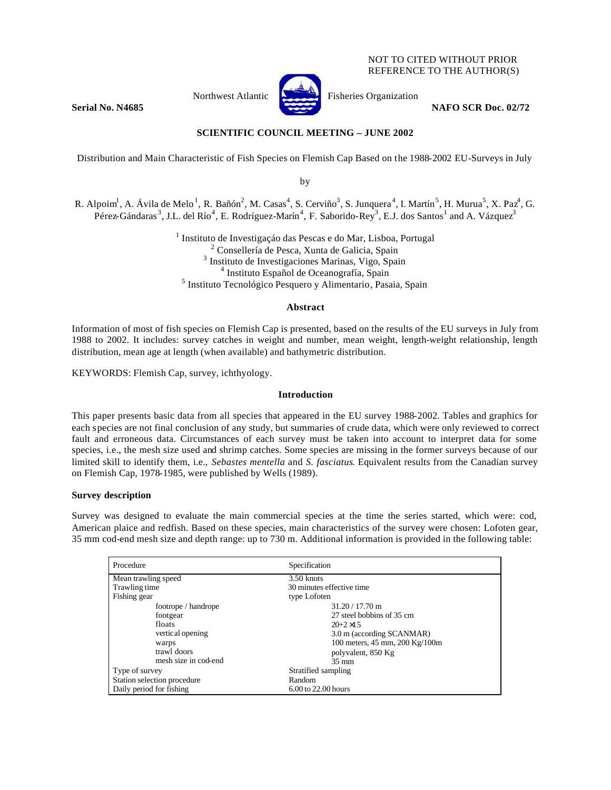NOT TO CITED WITHOUT PRIOR REFERENCE TO THE AUTHOR(S)



**Serial No. N4685 NAFO SCR Doc. 02/72** 

## **SCIENTIFIC COUNCIL MEETING – JUNE 2002**

Distribution and Main Characteristic of Fish Species on Flemish Cap Based on the 1988-2002 EU-Surveys in July

by

R. Alpoim<sup>1</sup>, A. Ávila de Melo<sup>1</sup>, R. Bañón<sup>2</sup>, M. Casas<sup>4</sup>, S. Cerviño<sup>3</sup>, S. Junquera<sup>4</sup>, I. Martín<sup>5</sup>, H. Murua<sup>5</sup>, X. Paz<sup>4</sup>, G. Pérez-Gándaras<sup>3</sup>, J.L. del Río<sup>4</sup>, E. Rodríguez-Marín<sup>4</sup>, F. Saborido-Rey<sup>3</sup>, E.J. dos Santos<sup>1</sup> and A. Vázquez<sup>3</sup>

> <sup>1</sup> Instituto de Investigação das Pescas e do Mar, Lisboa, Portugal <sup>2</sup> Consellería de Pesca, Xunta de Galicia, Spain 3 Instituto de Investigaciones Marinas, Vigo, Spain 4 Instituto Español de Oceanografía, Spain 5 Instituto Tecnológico Pesquero y Alimentario, Pasaia, Spain

#### **Abstract**

Information of most of fish species on Flemish Cap is presented, based on the results of the EU surveys in July from 1988 to 2002. It includes: survey catches in weight and number, mean weight, length-weight relationship, length distribution, mean age at length (when available) and bathymetric distribution.

KEYWORDS: Flemish Cap, survey, ichthyology.

#### **Introduction**

This paper presents basic data from all species that appeared in the EU survey 1988-2002. Tables and graphics for each species are not final conclusion of any study, but summaries of crude data, which were only reviewed to correct fault and erroneous data. Circumstances of each survey must be taken into account to interpret data for some species, i.e., the mesh size used and shrimp catches. Some species are missing in the former surveys because of our limited skill to identify them, i.e., *Sebastes mentella* and *S. fasciatus*. Equivalent results from the Canadian survey on Flemish Cap, 1978-1985, were published by Wells (1989).

#### **Survey description**

Survey was designed to evaluate the main commercial species at the time the series started, which were: cod, American plaice and redfish. Based on these species, main characteristics of the survey were chosen: Lofoten gear, 35 mm cod-end mesh size and depth range: up to 730 m. Additional information is provided in the following table:

| Procedure                   | Specification                  |  |
|-----------------------------|--------------------------------|--|
| Mean trawling speed         | $3.50$ knots                   |  |
| Trawling time               | 30 minutes effective time      |  |
| Fishing gear                | type Lofoten                   |  |
| footrope / handrope         | $31.20 / 17.70$ m              |  |
| footgear                    | 27 steel bobbins of 35 cm      |  |
| floats                      | $20+2\times15$                 |  |
| vertical opening            | 3.0 m (according SCANMAR)      |  |
| warps                       | 100 meters, 45 mm, 200 Kg/100m |  |
| trawl doors                 | polyvalent, 850 Kg             |  |
| mesh size in cod-end        | $35 \text{ mm}$                |  |
| Type of survey              | Stratified sampling            |  |
| Station selection procedure | Random                         |  |
| Daily period for fishing    | 6.00 to 22.00 hours            |  |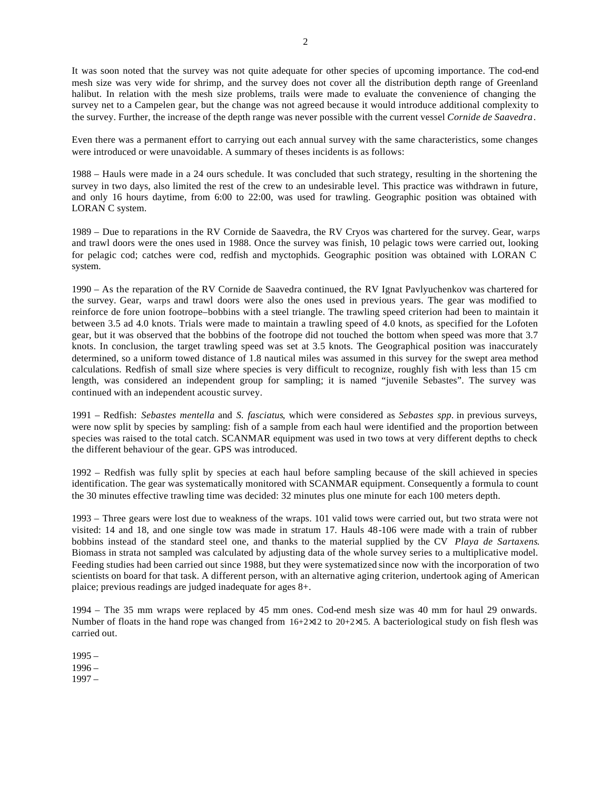It was soon noted that the survey was not quite adequate for other species of upcoming importance. The cod-end mesh size was very wide for shrimp, and the survey does not cover all the distribution depth range of Greenland halibut. In relation with the mesh size problems, trails were made to evaluate the convenience of changing the survey net to a Campelen gear, but the change was not agreed because it would introduce additional complexity to the survey. Further, the increase of the depth range was never possible with the current vessel *Cornide de Saavedra*.

Even there was a permanent effort to carrying out each annual survey with the same characteristics, some changes were introduced or were unavoidable. A summary of theses incidents is as follows:

1988 – Hauls were made in a 24 ours schedule. It was concluded that such strategy, resulting in the shortening the survey in two days, also limited the rest of the crew to an undesirable level. This practice was withdrawn in future, and only 16 hours daytime, from 6:00 to 22:00, was used for trawling. Geographic position was obtained with LORAN C system.

1989 – Due to reparations in the RV Cornide de Saavedra, the RV Cryos was chartered for the survey. Gear, warps and trawl doors were the ones used in 1988. Once the survey was finish, 10 pelagic tows were carried out, looking for pelagic cod; catches were cod, redfish and myctophids. Geographic position was obtained with LORAN C system.

1990 – As the reparation of the RV Cornide de Saavedra continued, the RV Ignat Pavlyuchenkov was chartered for the survey. Gear, warps and trawl doors were also the ones used in previous years. The gear was modified to reinforce de fore union footrope–bobbins with a steel triangle. The trawling speed criterion had been to maintain it between 3.5 ad 4.0 knots. Trials were made to maintain a trawling speed of 4.0 knots, as specified for the Lofoten gear, but it was observed that the bobbins of the footrope did not touched the bottom when speed was more that 3.7 knots. In conclusion, the target trawling speed was set at 3.5 knots. The Geographical position was inaccurately determined, so a uniform towed distance of 1.8 nautical miles was assumed in this survey for the swept area method calculations. Redfish of small size where species is very difficult to recognize, roughly fish with less than 15 cm length, was considered an independent group for sampling; it is named "juvenile Sebastes". The survey was continued with an independent acoustic survey.

1991 – Redfish: *Sebastes mentella* and *S. fasciatus*, which were considered as *Sebastes spp.* in previous surveys, were now split by species by sampling: fish of a sample from each haul were identified and the proportion between species was raised to the total catch. SCANMAR equipment was used in two tows at very different depths to check the different behaviour of the gear. GPS was introduced.

1992 – Redfish was fully split by species at each haul before sampling because of the skill achieved in species identification. The gear was systematically monitored with SCANMAR equipment. Consequently a formula to count the 30 minutes effective trawling time was decided: 32 minutes plus one minute for each 100 meters depth.

1993 – Three gears were lost due to weakness of the wraps. 101 valid tows were carried out, but two strata were not visited: 14 and 18, and one single tow was made in stratum 17. Hauls 48-106 were made with a train of rubber bobbins instead of the standard steel one, and thanks to the material supplied by the CV *Playa de Sartaxens*. Biomass in strata not sampled was calculated by adjusting data of the whole survey series to a multiplicative model. Feeding studies had been carried out since 1988, but they were systematized since now with the incorporation of two scientists on board for that task. A different person, with an alternative aging criterion, undertook aging of American plaice; previous readings are judged inadequate for ages 8+.

1994 – The 35 mm wraps were replaced by 45 mm ones. Cod-end mesh size was 40 mm for haul 29 onwards. Number of floats in the hand rope was changed from 16+2×12 to 20+2×15. A bacteriological study on fish flesh was carried out.

1995 – 1996 – 1997 –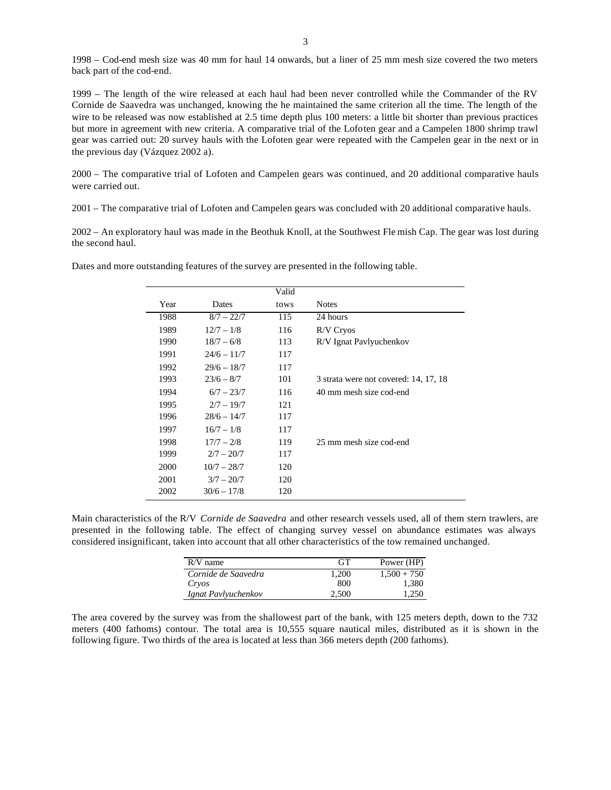1998 – Cod-end mesh size was 40 mm for haul 14 onwards, but a liner of 25 mm mesh size covered the two meters back part of the cod-end.

1999 – The length of the wire released at each haul had been never controlled while the Commander of the RV Cornide de Saavedra was unchanged, knowing the he maintained the same criterion all the time. The length of the wire to be released was now established at 2.5 time depth plus 100 meters: a little bit shorter than previous practices but more in agreement with new criteria. A comparative trial of the Lofoten gear and a Campelen 1800 shrimp trawl gear was carried out: 20 survey hauls with the Lofoten gear were repeated with the Campelen gear in the next or in the previous day (Vázquez 2002 a).

2000 – The comparative trial of Lofoten and Campelen gears was continued, and 20 additional comparative hauls were carried out.

2001 – The comparative trial of Lofoten and Campelen gears was concluded with 20 additional comparative hauls.

2002 – An exploratory haul was made in the Beothuk Knoll, at the Southwest Fle mish Cap. The gear was lost during the second haul.

|      |               | Valid |                                       |
|------|---------------|-------|---------------------------------------|
| Year | Dates         | tows  | <b>Notes</b>                          |
| 1988 | $8/7 - 22/7$  | 115   | 24 hours                              |
| 1989 | $12/7 - 1/8$  | 116   | R/V Cryos                             |
| 1990 | $18/7 - 6/8$  | 113   | R/V Ignat Pavlyuchenkov               |
| 1991 | $24/6 - 11/7$ | 117   |                                       |
| 1992 | $29/6 - 18/7$ | 117   |                                       |
| 1993 | $23/6 - 8/7$  | 101   | 3 strata were not covered: 14, 17, 18 |
| 1994 | $6/7 - 23/7$  | 116   | 40 mm mesh size cod-end               |
| 1995 | $2/7 - 19/7$  | 121   |                                       |
| 1996 | $28/6 - 14/7$ | 117   |                                       |
| 1997 | $16/7 - 1/8$  | 117   |                                       |
| 1998 | $17/7 - 2/8$  | 119   | 25 mm mesh size cod-end               |
| 1999 | $2/7 - 20/7$  | 117   |                                       |
| 2000 | $10/7 - 28/7$ | 120   |                                       |
| 2001 | $3/7 - 20/7$  | 120   |                                       |
| 2002 | $30/6 - 17/8$ | 120   |                                       |

Dates and more outstanding features of the survey are presented in the following table.

Main characteristics of the R/V *Cornide de Saavedra* and other research vessels used, all of them stern trawlers, are presented in the following table. The effect of changing survey vessel on abundance estimates was always considered insignificant, taken into account that all other characteristics of the tow remained unchanged.

| $R/V$ name          | <b>GT</b> | Power (HP)    |
|---------------------|-----------|---------------|
| Cornide de Saavedra | 1.200     | $1.500 + 750$ |
| Cryos               | 800       | 1.380         |
| Ignat Pavlyuchenkov | 2.500     | 1.250         |

The area covered by the survey was from the shallowest part of the bank, with 125 meters depth, down to the 732 meters (400 fathoms) contour. The total area is 10,555 square nautical miles, distributed as it is shown in the following figure. Two thirds of the area is located at less than 366 meters depth (200 fathoms).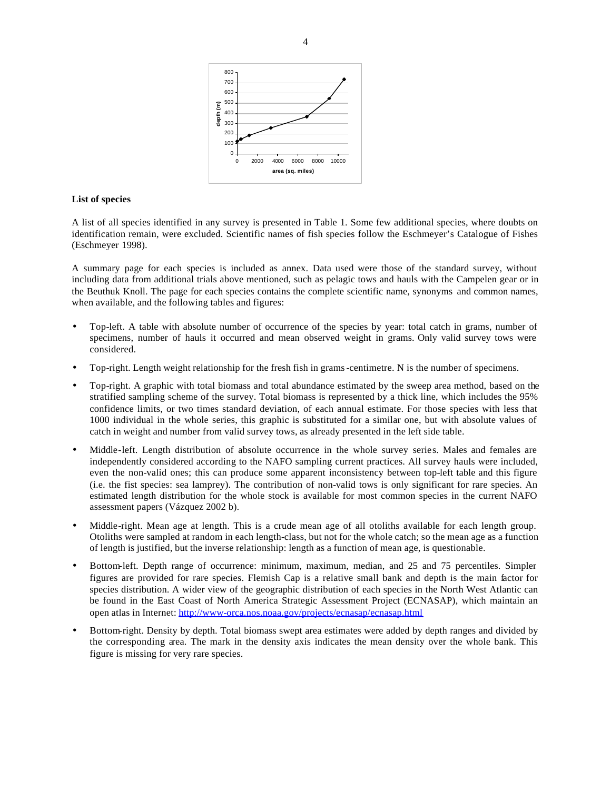

#### **List of species**

A list of all species identified in any survey is presented in Table 1. Some few additional species, where doubts on identification remain, were excluded. Scientific names of fish species follow the Eschmeyer's Catalogue of Fishes (Eschmeyer 1998).

A summary page for each species is included as annex. Data used were those of the standard survey, without including data from additional trials above mentioned, such as pelagic tows and hauls with the Campelen gear or in the Beuthuk Knoll. The page for each species contains the complete scientific name, synonyms and common names, when available, and the following tables and figures:

- Top-left. A table with absolute number of occurrence of the species by year: total catch in grams, number of specimens, number of hauls it occurred and mean observed weight in grams. Only valid survey tows were considered.
- Top-right. Length weight relationship for the fresh fish in grams-centimetre. N is the number of specimens.
- Top-right. A graphic with total biomass and total abundance estimated by the sweep area method, based on the stratified sampling scheme of the survey. Total biomass is represented by a thick line, which includes the 95% confidence limits, or two times standard deviation, of each annual estimate. For those species with less that 1000 individual in the whole series, this graphic is substituted for a similar one, but with absolute values of catch in weight and number from valid survey tows, as already presented in the left side table.
- Middle-left. Length distribution of absolute occurrence in the whole survey series. Males and females are independently considered according to the NAFO sampling current practices. All survey hauls were included, even the non-valid ones; this can produce some apparent inconsistency between top-left table and this figure (i.e. the fist species: sea lamprey). The contribution of non-valid tows is only significant for rare species. An estimated length distribution for the whole stock is available for most common species in the current NAFO assessment papers (Vázquez 2002 b).
- Middle-right. Mean age at length. This is a crude mean age of all otoliths available for each length group. Otoliths were sampled at random in each length-class, but not for the whole catch; so the mean age as a function of length is justified, but the inverse relationship: length as a function of mean age, is questionable.
- Bottom-left. Depth range of occurrence: minimum, maximum, median, and 25 and 75 percentiles. Simpler figures are provided for rare species. Flemish Cap is a relative small bank and depth is the main factor for species distribution. A wider view of the geographic distribution of each species in the North West Atlantic can be found in the East Coast of North America Strategic Assessment Project (ECNASAP), which maintain an open atlas in Internet:<http://www-orca.nos.noaa.gov/projects/ecnasap/ecnasap.html>
- Bottom-right. Density by depth. Total biomass swept area estimates were added by depth ranges and divided by the corresponding area. The mark in the density axis indicates the mean density over the whole bank. This figure is missing for very rare species.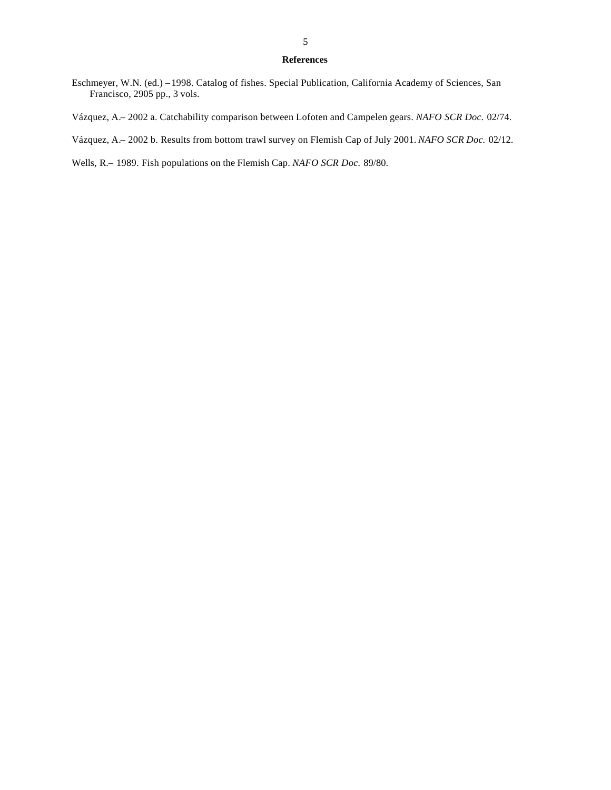- Eschmeyer, W.N. (ed.) –1998. Catalog of fishes. Special Publication, California Academy of Sciences, San Francisco, 2905 pp., 3 vols.
- Vázquez, A.– 2002 a. Catchability comparison between Lofoten and Campelen gears. *NAFO SCR Doc.* 02/74.
- Vázquez, A.– 2002 b. Results from bottom trawl survey on Flemish Cap of July 2001. *NAFO SCR Doc.* 02/12.

Wells, R.– 1989. Fish populations on the Flemish Cap. *NAFO SCR Doc.* 89/80.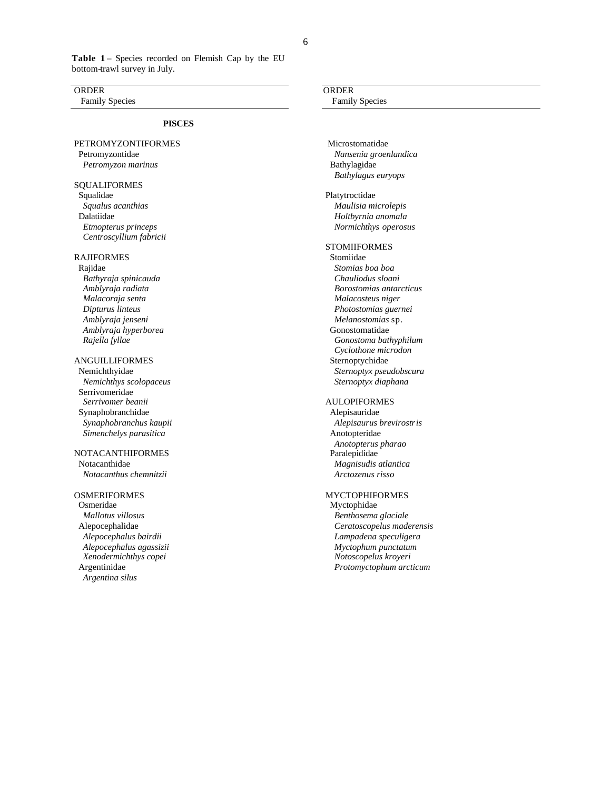**Table 1** – Species recorded on Flemish Cap by the EU bottom-trawl survey in July.

ORDER

Family Species

#### **PISCES**

#### PETROMYZONTIFORMES Petromyzontidae

*Petromyzon marinus* 

## **SQUALIFORMES**

 Squalidae *Squalus acanthias*  Dalatiidae *Etmopterus princeps Centroscyllium fabricii* 

#### RAJIFORMES

 Rajidae *Bathyraja spinicauda Amblyraja radiata Malacoraja senta Dipturus linteus Amblyraja jenseni Amblyraja hyperborea Rajella fyllae*

#### ANGUILLIFORMES Nemichthyidae *Nemichthys scolopaceus*  Serrivomeridae *Serrivomer beanii*  Synaphobranchidae  *Synaphobranchus kaupii Simenchelys parasitica*

 NOTACANTHIFORMES Notacanthidae *Notacanthus chemnitzii* 

#### OSMERIFORMES Osmeridae

 *Mallotus villosus*  Alepocephalidae *Alepocephalus bairdii Alepocephalus agassizii Xenodermichthys copei* Argentinidae  *Argentina silus* 

## **ORDER**

Family Species

 Microstomatidae *Nansenia groenlandica*  Bathylagidae *Bathylagus euryops*

#### Platytroctidae *Maulisia microlepis Holtbyrnia anomala Normichthys operosus*

#### **STOMIIFORMES**

 Stomiidae  *Stomias boa boa Chauliodus sloani Borostomias antarcticus Malacosteus niger Photostomias guernei Melanostomias* sp. Gonostomatidae *Gonostoma bathyphilum Cyclothone microdon* Sternoptychidae *Sternoptyx pseudobscura Sternoptyx diaphana*

#### AULOPIFORMES

 Alepisauridae *Alepisaurus brevirostris*  Anotopteridae *Anotopterus pharao*  Paralepididae *Magnisudis atlantica Arctozenus risso*

#### MYCTOPHIFORMES

 Myctophidae *Benthosema glaciale Ceratoscopelus maderensis Lampadena speculigera Myctophum punctatum Notoscopelus kroyeri Protomyctophum arcticum*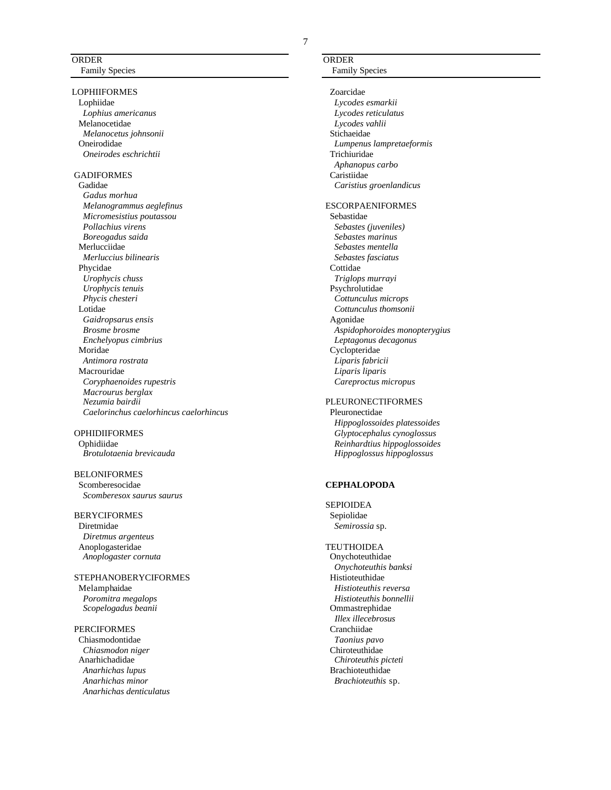# ORDER

Family Species

#### LOPHIIFORMES

 Lophiidae *Lophius americanus*  Melanocetidae *Melanocetus johnsonii*  Oneirodidae *Oneirodes eschrichtii* 

#### GADIFORMES

 Gadidae  *Gadus morhua Melanogrammus aeglefinus Micromesistius poutassou Pollachius virens Boreogadus saida* Merlucciidae *Merluccius bilinearis*  Phycidae *Urophycis chuss Urophycis tenuis Phycis chesteri* Lotidae *Gaidropsarus ensis Brosme brosme Enchelyopus cimbrius* Moridae *Antimora rostrata*  Macrouridae  *Coryphaenoides rupestris Macrourus berglax Nezumia bairdii Caelorinchus caelorhincus caelorhincus*

#### OPHIDIIFORMES

 Ophidiidae  *Brotulotaenia brevicauda* 

#### BELONIFORMES

 Scomberesocidae *Scomberesox saurus saurus*

#### BERYCIFORMES

 Diretmidae *Diretmus argenteus*  Anoplogasteridae *Anoplogaster cornuta* 

 STEPHANOBERYCIFORMES Melamphaidae  *Poromitra megalops Scopelogadus beanii* 

#### PERCIFORMES

 Chiasmodontidae  *Chiasmodon niger*  Anarhichadidae  *Anarhichas lupus Anarhichas minor Anarhichas denticulatus* 

## 7

## ORDER

Family Species

#### Zoarcidae

 *Lycodes esmarkii Lycodes reticulatus Lycodes vahlii* Stichaeidae *Lumpenus lampretaeformis* Trichiuridae *Aphanopus carbo*  Caristiidae *Caristius groenlandicus* 

#### ESCORPAENIFORMES

 Sebastidae *Sebastes (juveniles) Sebastes marinus Sebastes mentella Sebastes fasciatus* Cottidae *Triglops murrayi*  Psychrolutidae *Cottunculus microps Cottunculus thomsonii* Agonidae *Aspidophoroides monopterygius Leptagonus decagonus* Cyclopteridae *Liparis fabricii Liparis liparis Careproctus micropus*

#### PLEURONECTIFORMES

 Pleuronectidae *Hippoglossoides platessoides Glyptocephalus cynoglossus Reinhardtius hippoglossoides Hippoglossus hippoglossus*

#### **CEPHALOPODA**

 SEPIOIDEA Sepiolidae  *Semirossia* sp.

#### TEUTHOIDEA

 Onychoteuthidae *Onychoteuthis banksi*  Histioteuthidae *Histioteuthis reversa Histioteuthis bonnellii* Ommastrephidae  *Illex illecebrosus*  Cranchiidae  *Taonius pavo*  Chiroteuthidae *Chiroteuthis picteti*  Brachioteuthidae *Brachioteuthis* sp.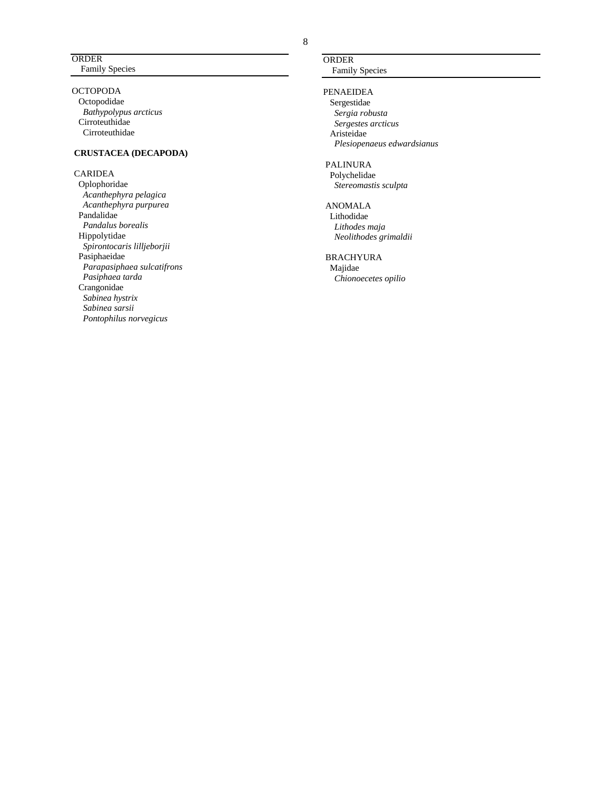OCTOPODA

 Octopodidae *Bathypolypus arcticus*  Cirroteuthidae Cirroteuthidae

#### **CRUSTACEA (DECAPODA)**

#### CARIDEA

 Oplophoridae *Acanthephyra pelagica Acanthephyra purpurea* Pandalidae *Pandalus borealis*  Hippolytidae *Spirontocaris lilljeborjii*  Pasiphaeidae  *Parapasiphaea sulcatifrons Pasiphaea tarda* Crangonidae  *Sabinea hystrix Sabinea sarsii Pontophilus norvegicus* 

#### ORDER Family Species

#### PENAEIDEA

 Sergestidae *Sergia robusta Sergestes arcticus* Aristeidae *Plesiopenaeus edwardsianus* 

## PALINURA

 Polychelidae  *Stereomastis sculpta* 

#### ANOMALA

 Lithodidae *Lithodes maja Neolithodes grimaldii*

#### BRACHYURA

 Majidae *Chionoecetes opilio*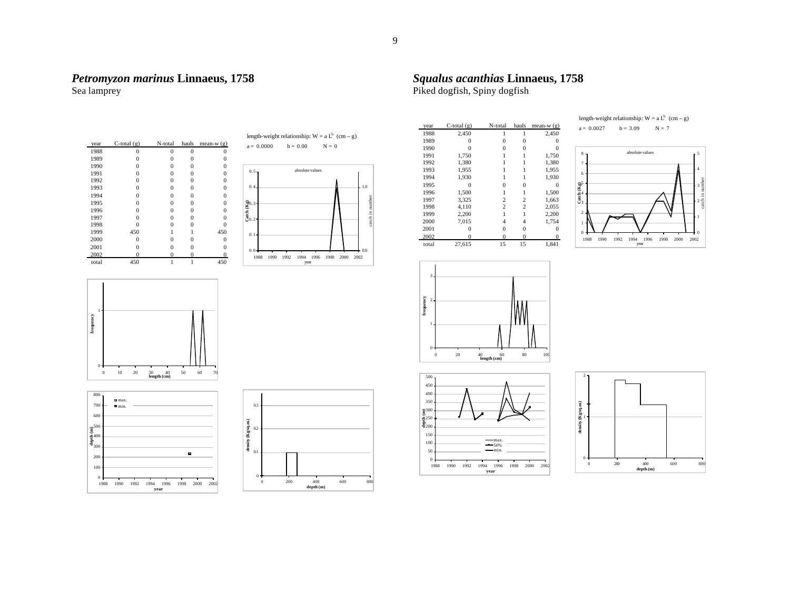# *Petromyzon marinus* **Linnaeus, 1758**

Sea lamprey



# *Squalus acanthias* **Linnaeus, 1758**

Piked dogfish, Spiny dogfish





length-weight relationship:  $W = a L^b$  (cm – g)

 $a = 0.0027$   $b = 3.09$   $N = 7$ 





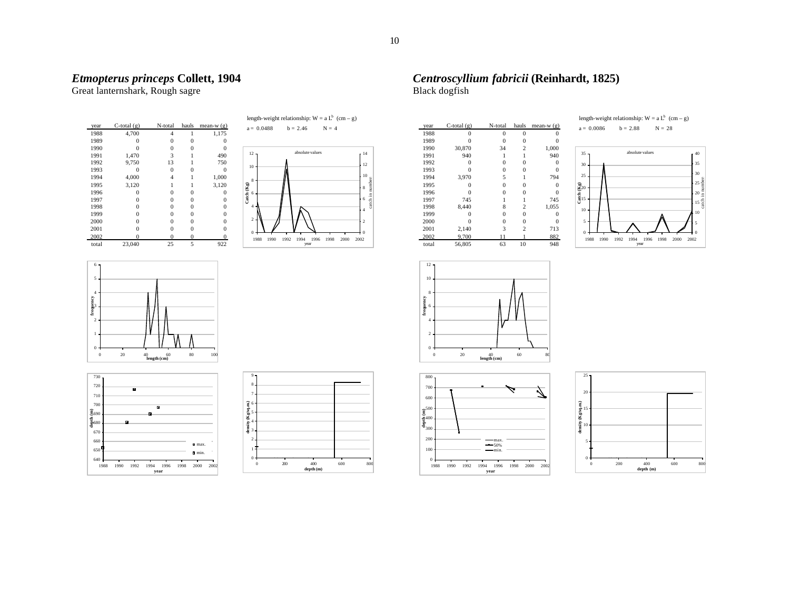## *Etmopterus princeps* **Collett, 1904**

Great lanternshark, Rough sagre





length-weight relationship:  $W = a L^b$  (cm – g)





| $\mathbf Q$             |     |           |     |     |
|-------------------------|-----|-----------|-----|-----|
| 8                       |     |           |     |     |
| 7                       |     |           |     |     |
| $6 -$                   |     |           |     |     |
| density (Kg/sq.m.)<br>5 |     |           |     |     |
|                         |     |           |     |     |
| 3                       |     |           |     |     |
| $\overline{c}$          |     |           |     |     |
| 1                       |     |           |     |     |
| $\bf{0}$                |     |           |     |     |
| $\Omega$                | 200 | 400       | 600 | 800 |
|                         |     | depth (m) |     |     |

## *Centroscyllium fabricii* **(Reinhardt, 1825)** Black dogfish



length-weight relationship:  $W = a L^b$  (cm – g)







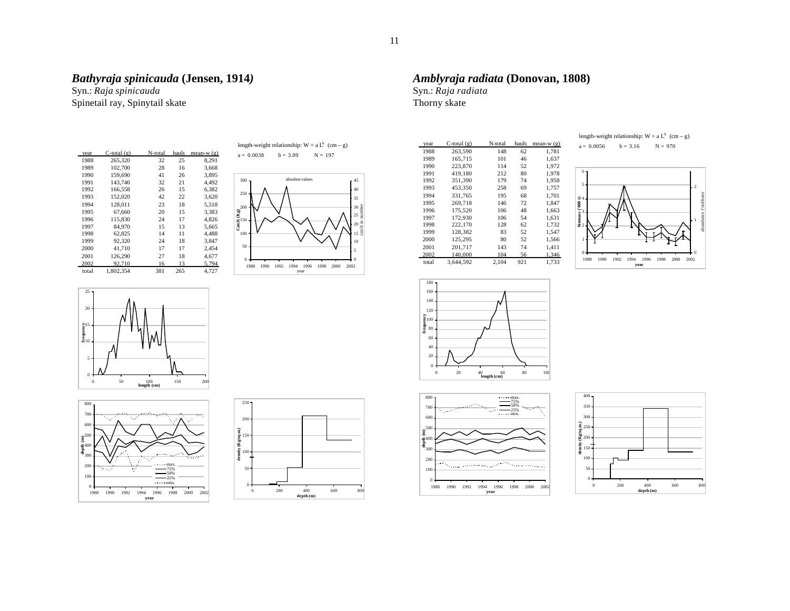# *Bathyraja spinicauda* **(Jensen, 1914***)*

Syn.: *Raja spinicauda* Spinetail ray, Spinytail skate

| year  | $C$ -total $(g)$ | N-total | hauls | mean-w $(g)$ |
|-------|------------------|---------|-------|--------------|
| 1988  | 265,320          | 32      | 25    | 8.291        |
| 1989  | 102,700          | 28      | 16    | 3.668        |
| 1990  | 159,690          | 41      | 26    | 3.895        |
| 1991  | 143.740          | 32      | 21    | 4.492        |
| 1992  | 166,558          | 26      | 15    | 6,382        |
| 1993  | 152,020          | 42      | 22    | 3,620        |
| 1994  | 128.011          | 23      | 18    | 5,518        |
| 1995  | 67.660           | 20      | 15    | 3.383        |
| 1996  | 115.830          | 24      | 17    | 4.826        |
| 1997  | 84.970           | 15      | 13    | 5.665        |
| 1998  | 62,825           | 14      | 11    | 4.488        |
| 1999  | 92,320           | 24      | 18    | 3,847        |
| 2000  | 41,710           | 17      | 17    | 2.454        |
| 2001  | 126.290          | 27      | 18    | 4.677        |
| 2002  | 92,710           | 16      | 13    | 5,794        |
| total | 1.802.354        | 381     | 265   | 4.727        |



catch in number.



Thorny skate

| year  | $C$ -total $(g)$ | N-total | hauls | mean-w $(g)$ |
|-------|------------------|---------|-------|--------------|
| 1988  | 263,590          | 148     | 62    | 1,781        |
| 1989  | 165.715          | 101     | 46    | 1.637        |
| 1990  | 223,870          | 114     | 52    | 1.972        |
| 1991  | 419.180          | 212     | 80    | 1.978        |
| 1992  | 351,390          | 179     | 74    | 1,958        |
| 1993  | 453,350          | 258     | 69    | 1,757        |
| 1994  | 331.765          | 195     | 68    | 1.701        |
| 1995  | 269.718          | 146     | 72    | 1.847        |
| 1996  | 175.520          | 106     | 48    | 1.663        |
| 1997  | 172.930          | 106     | 54    | 1.631        |
| 1998  | 222,170          | 128     | 62    | 1,732        |
| 1999  | 128,382          | 83      | 52    | 1,547        |
| 2000  | 125.295          | 80      | 52    | 1.566        |
| 2001  | 201.717          | 143     | 74    | 1.411        |
| 2002  | 140,000          | 104     | 56    | 1,346        |
| total | 3.644.592        | 2.104   | 921   | 1,733        |

length-weight relationship:  $W = a L^b$  (cm – g)  $a = 0.0056$   $b = 3.16$   $N = 970$ 













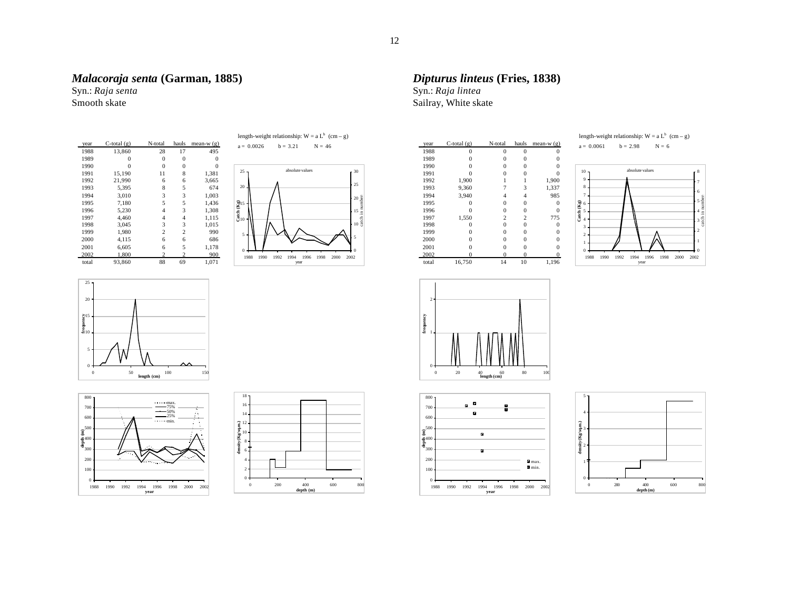## *Malacoraja senta* **(Garman, 1885)**

Syn.: *Raja senta* Smooth skate







Sailray, White skate





year

length-weight relationship:  $W = a L^b$  (cm – g)











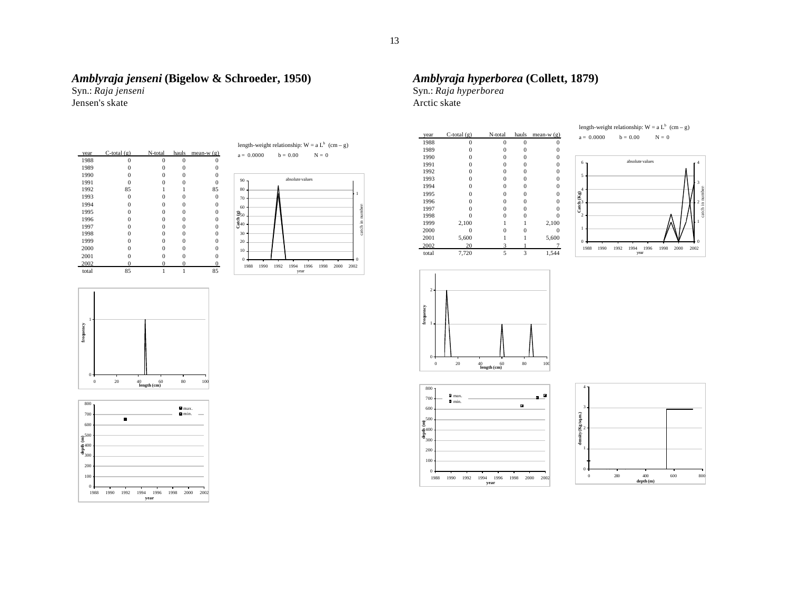## *Amblyraja jenseni* **(Bigelow & Schroeder, 1950)**

Syn.: *Raja jenseni*  Jensen's skate







Syn.: *Raja hyperborea* Arctic skate



length-weight relationship:  $W = a L^b$  (cm – g)





 **u** max. **Fi**  min.  $\blacksquare$  500 **depth (m)**  $\theta$ 

 1990 1992 1994 1996 1998 2000 2002 **year**







catch in number.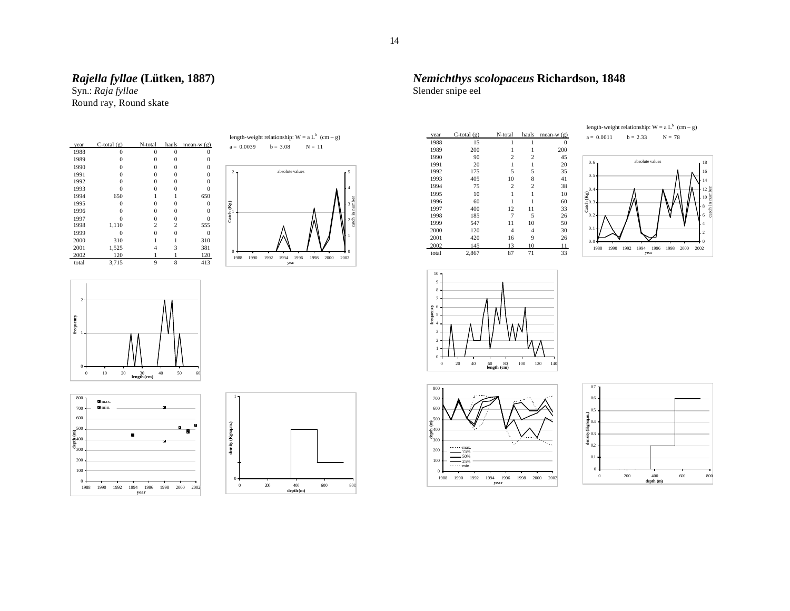# *Rajella fyllae* **(Lütken, 1887)**

Syn.: *Raja fyllae* Round ray, Round skate











## *Nemichthys scolopaceus* **Richardson, 1848** Slender snipe eel





length-weight relationship:  $W = a L^b$  (cm – g)





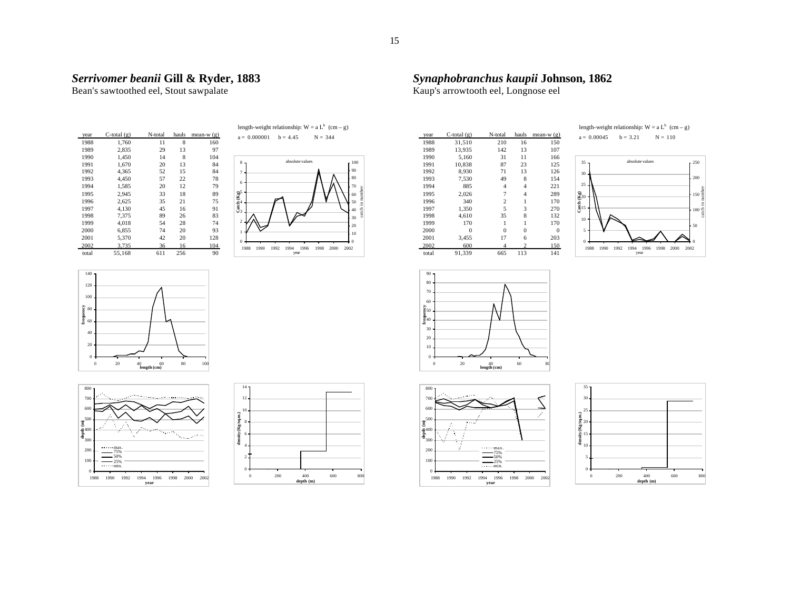## *Serrivomer beanii* **Gill & Ryder, 1883**

Bean's sawtoothed eel, Stout sawpalate











## *Synaphobranchus kaupii* **Johnson, 1862**

Kaup's arrowtooth eel, Longnose eel











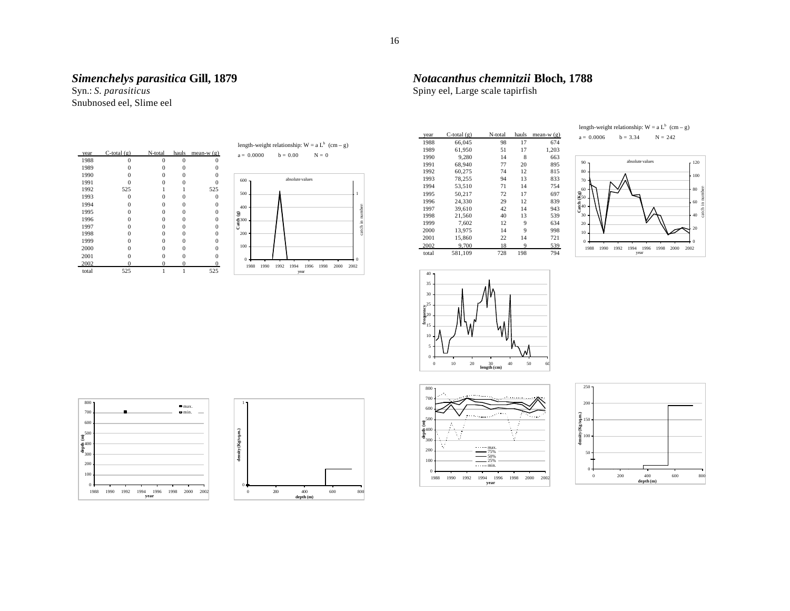# *Simenchelys parasitica* **Gill, 1879**

Syn.: *S. parasiticus* Snubnosed eel, Slime eel



## *Notacanthus chemnitzii* **Bloch, 1788**

Spiny eel, Large scale tapirfish

| year  | $C$ -total $(g)$ | N-total | hauls | mean-w $(g)$ |
|-------|------------------|---------|-------|--------------|
| 1988  | 66,045           | 98      | 17    | 674          |
| 1989  | 61.950           | 51      | 17    | 1.203        |
| 1990  | 9.280            | 14      | 8     | 663          |
| 1991  | 68,940           | 77      | 20    | 895          |
| 1992  | 60.275           | 74      | 12    | 815          |
| 1993  | 78.255           | 94      | 13    | 833          |
| 1994  | 53.510           | 71      | 14    | 754          |
| 1995  | 50.217           | 72      | 17    | 697          |
| 1996  | 24.330           | 29      | 12    | 839          |
| 1997  | 39.610           | 42      | 14    | 943          |
| 1998  | 21.560           | 40      | 13    | 539          |
| 1999  | 7.602            | 12      | 9     | 634          |
| 2000  | 13.975           | 14      | 9     | 998          |
| 2001  | 15.860           | 22      | 14    | 721          |
| 2002  | 9.700            | 18      | 9     | 539          |
| total | 581.109          | 728     | 198   | 794          |

length-weight relationship:  $W = a L^b$  (cm – g)

 $a = 0.0006$   $b = 3.34$   $N = 242$ 

















catch in number.

catch in number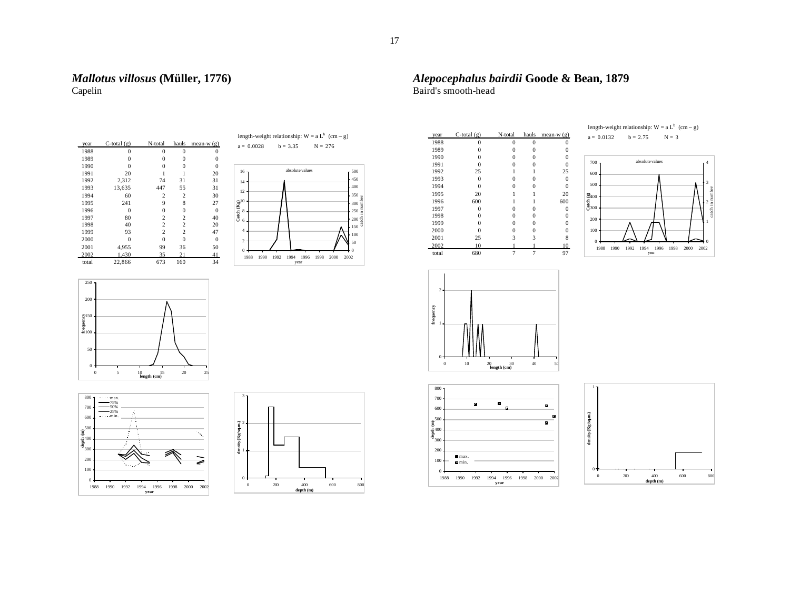## *Mallotus villosus* **(Müller, 1776)** Capelin









# *Alepocephalus bairdii* **Goode & Bean, 1879**

Baird's smooth-head





length-weight relationship:  $W = a L^b$  (cm – g)







catch in number.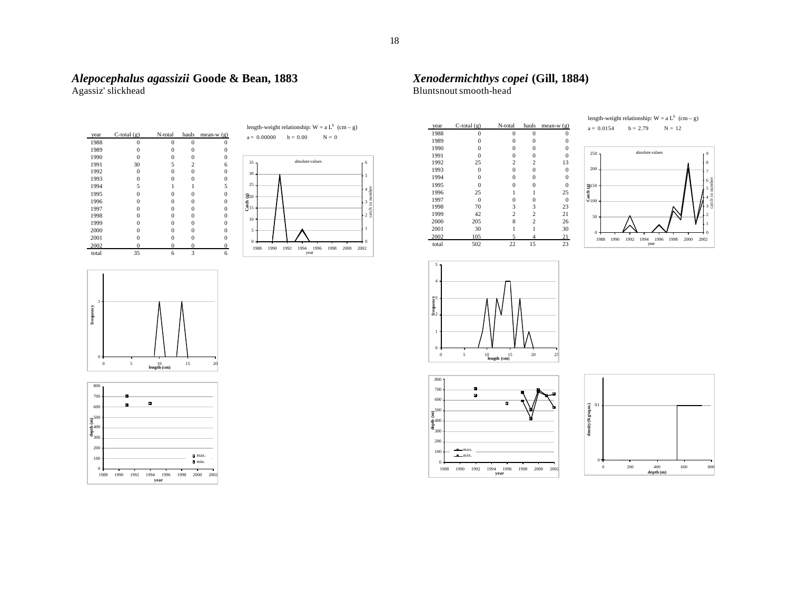





# *Xenodermichthys copei* **(Gill, 1884)**

Bluntsnout smooth-head













 

catch in number.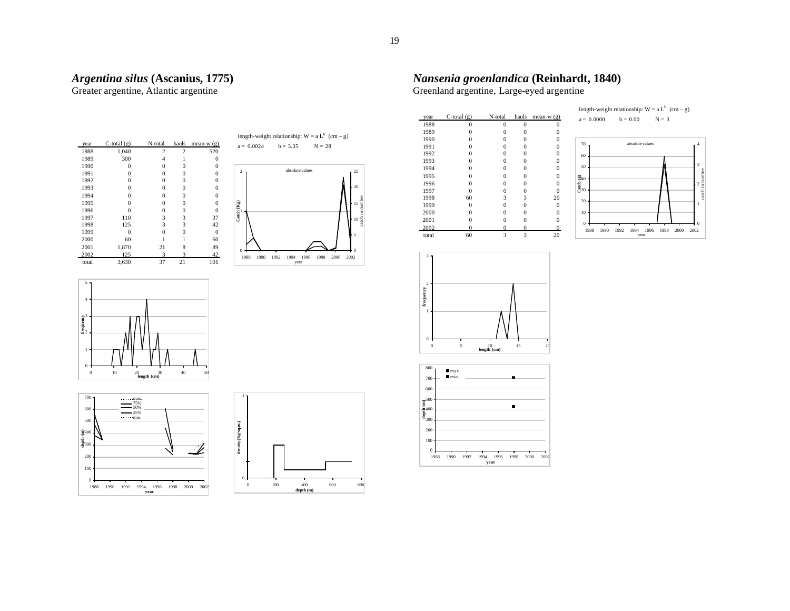# *Argentina silus* **(Ascanius, 1775)**

Greater argentine, Atlantic argentine











## *Nansenia groenlandica* **(Reinhardt, 1840)**

Greenland argentine, Large-eyed argentine





length-weight relationship:  $W = a L^b$  (cm – g)





####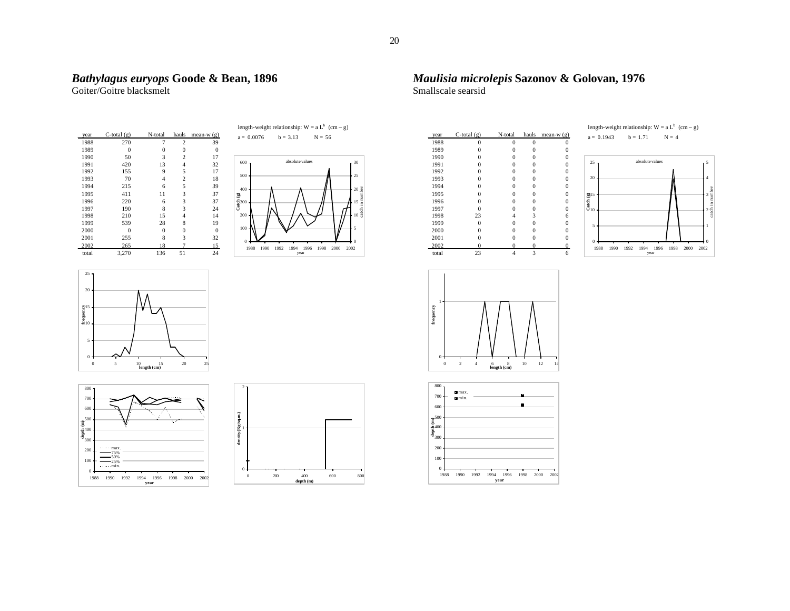# *Bathylagus euryops* **Goode & Bean, 1896**

Goiter/Goitre blacksmelt











## *Maulisia microlepis* **Sazonov & Golovan, 1976** Smallscale searsid





length-weight relationship:  $W = a L^b$  (cm – g)

 $a = 0.1943$   $b = 1.71$   $N = 4$ 



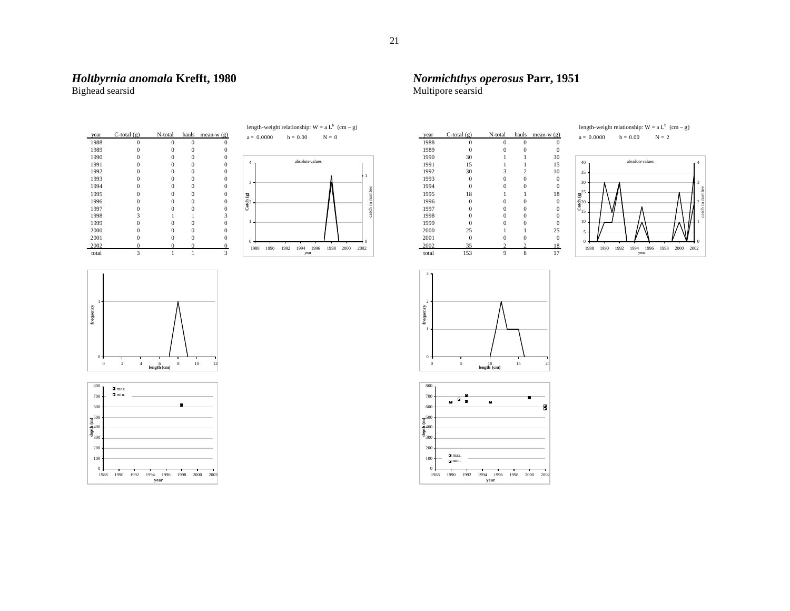## *Holtbyrnia anomala* **Krefft, 1980**

Bighead searsid









## *Normichthys operosus* **Parr, 1951** Multipore searsid



 $a = 0.0000$   $b = 0.00$   $N = 2$ absolute values 

length-weight relationship:  $W = a L^b$  (cm – g)





 . . .  $\blacksquare$  500 **depth (m)**  $m$ <sub>max</sub>. **m**in.  $\overline{0}$  1990 1992 1994 1996 1998 2000 2002 **year**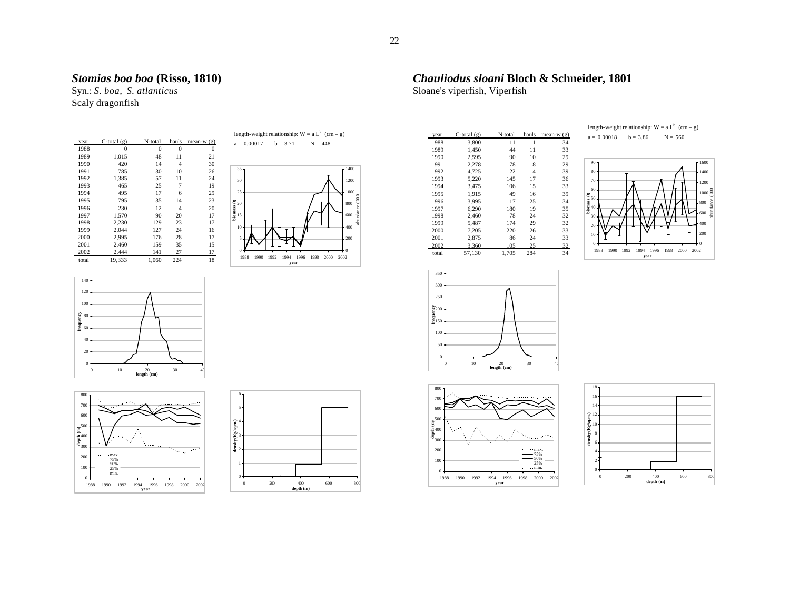## *Stomias boa boa* **(Risso, 1810)**

Syn.: *S. boa, S. atlanticus* Scaly dragonfish











## *Chauliodus sloani* **Bloch & Schneider, 1801**

Sloane's viperfish, Viperfish

| year  | $C$ -total $(g)$ | N-total | hauls | $mean-w(g)$ |
|-------|------------------|---------|-------|-------------|
| 1988  | 3.800            | 111     | 11    | 34          |
| 1989  | 1.450            | 44      | 11    | 33          |
| 1990  | 2.595            | 90      | 10    | 29          |
| 1991  | 2.278            | 78      | 18    | 29          |
| 1992  | 4,725            | 122     | 14    | 39          |
| 1993  | 5.220            | 145     | 17    | 36          |
| 1994  | 3.475            | 106     | 15    | 33          |
| 1995  | 1.915            | 49      | 16    | 39          |
| 1996  | 3.995            | 117     | 25    | 34          |
| 1997  | 6.290            | 180     | 19    | 35          |
| 1998  | 2.460            | 78      | 24    | 32          |
| 1999  | 5.487            | 174     | 29    | 32          |
| 2000  | 7.205            | 220     | 26    | 33          |
| 2001  | 2.875            | 86      | 24    | 33          |
| 2002  | 3.360            | 105     | 25    | 32          |
| total | 57.130           | 1.705   | 284   | 34          |



length-weight relationship:  $W = a L^b$  (cm – g)

 $a = 0.00018$   $b = 3.86$   $N = 560$ 





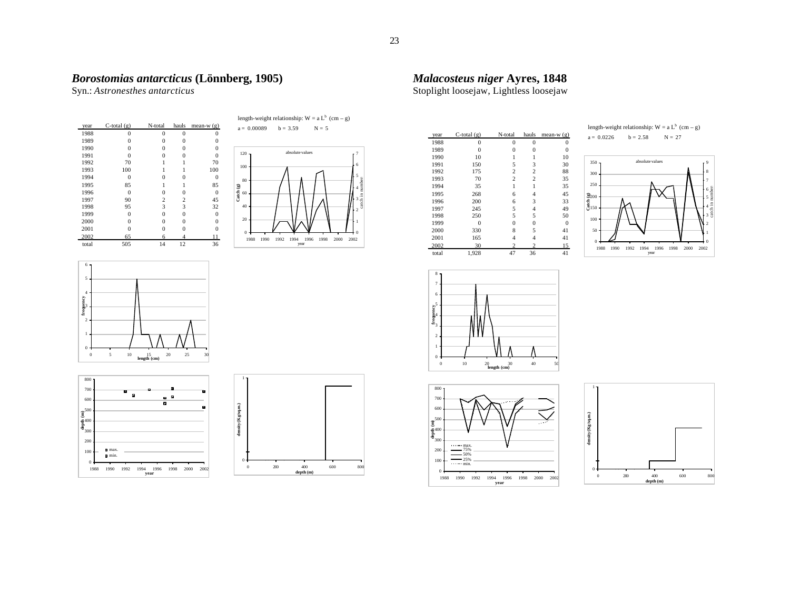## *Borostomias antarcticus* **(Lönnberg, 1905)**

Syn.: *Astronesthes antarcticus*











# *Malacosteus niger* **Ayres, 1848**

Stoplight loosejaw, Lightless loosejaw











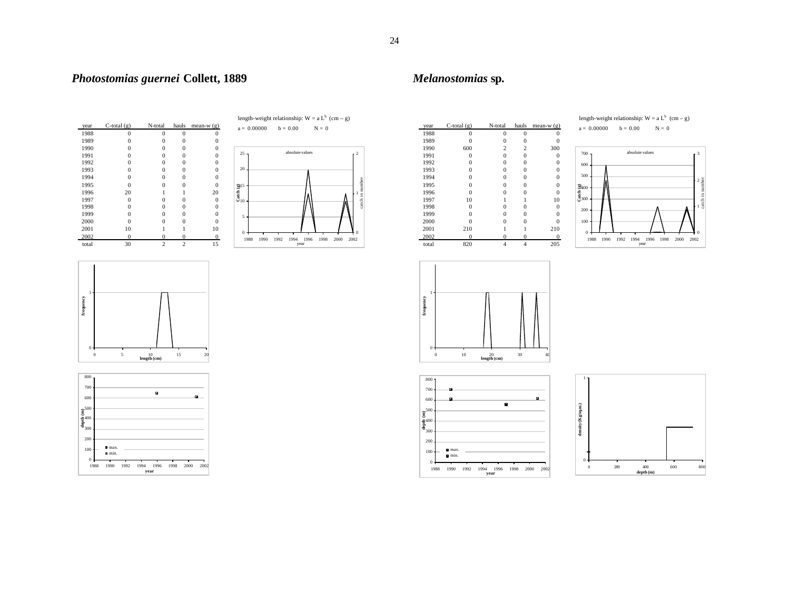# *Photostomias guernei* **Collett, 1889** *Melanostomias* **sp.**











length-weight relationship:  $W = a L^b$  (cm – g)

 $a = 0.00000$   $b = 0.00$   $N = 0$ 





**year**



atch in number catch in numbers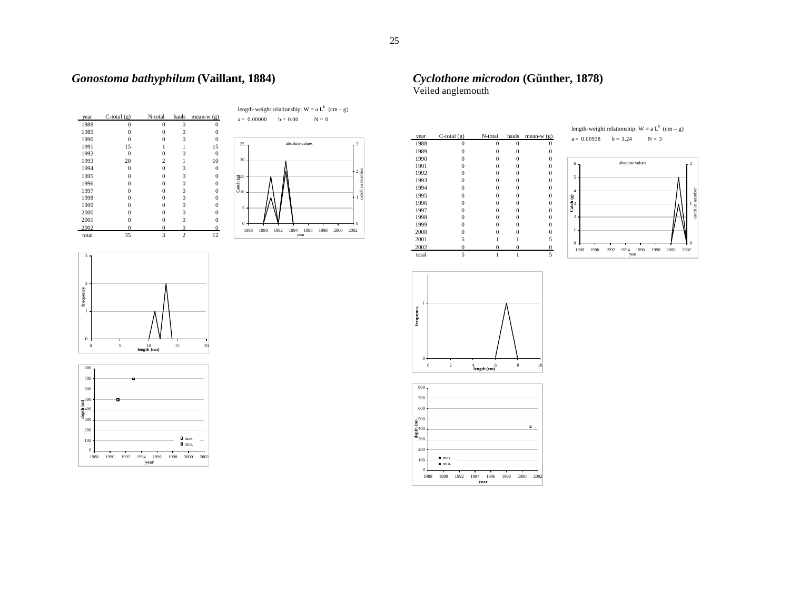



length-weight relationship:  $W = a L^b$  (cm – g)





## *Gonostoma bathyphilum* **(Vaillant, 1884)** *Cyclothone microdon* **(Günther, 1878)** Veiled anglemouth



length-weight relationship:  $W = a L^b$  (cm – g)  $a = 0.00938$   $b = 3.24$   $N = 3$ 





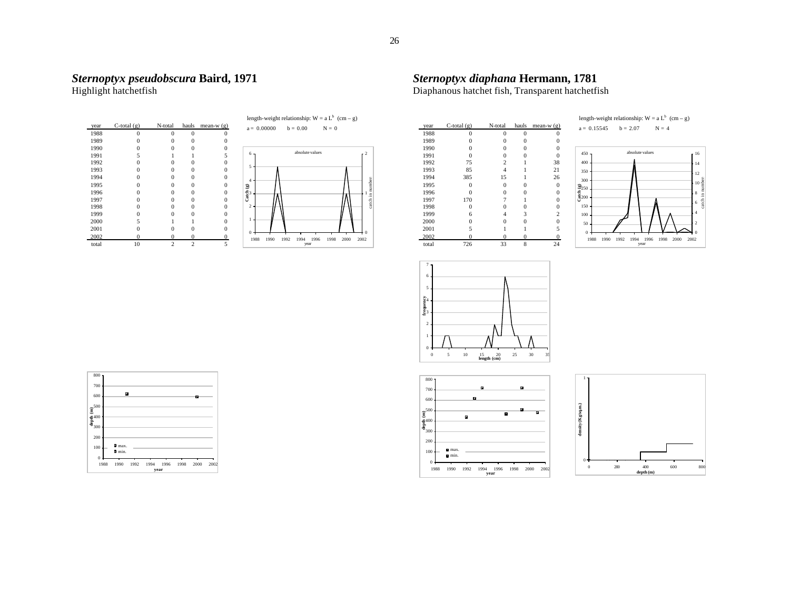# *Sternoptyx pseudobscura* **Baird, 1971**

Highlight hatchetfish



# *Sternoptyx diaphana* **Hermann, 1781**

Diaphanous hatchet fish, Transparent hatchetfish





length-weight relationship:  $W = a L^b$  (cm – g)







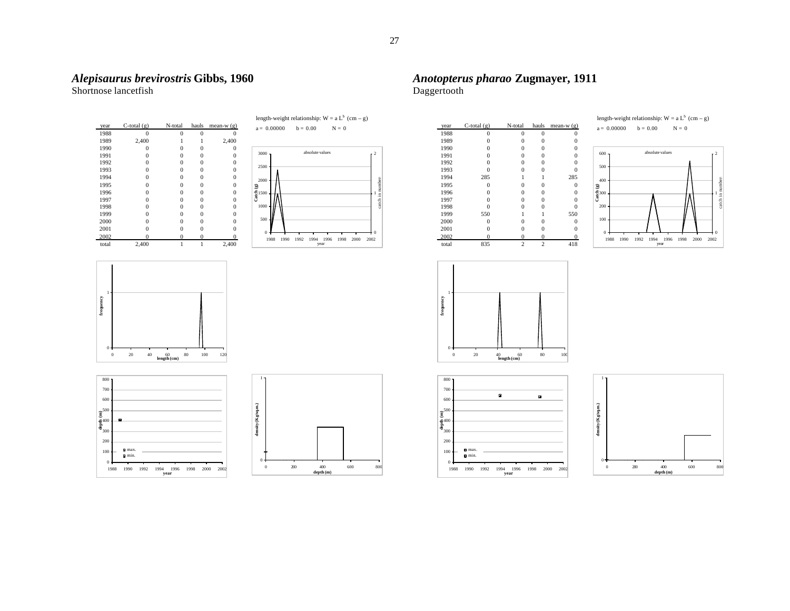## *Alepisaurus brevirostris* **Gibbs, 1960**

Shortnose lancetfish



## *Anotopterus pharao* **Zugmayer, 1911** Daggertooth





length-weight relationship:  $W = a L^b$  (cm – g)





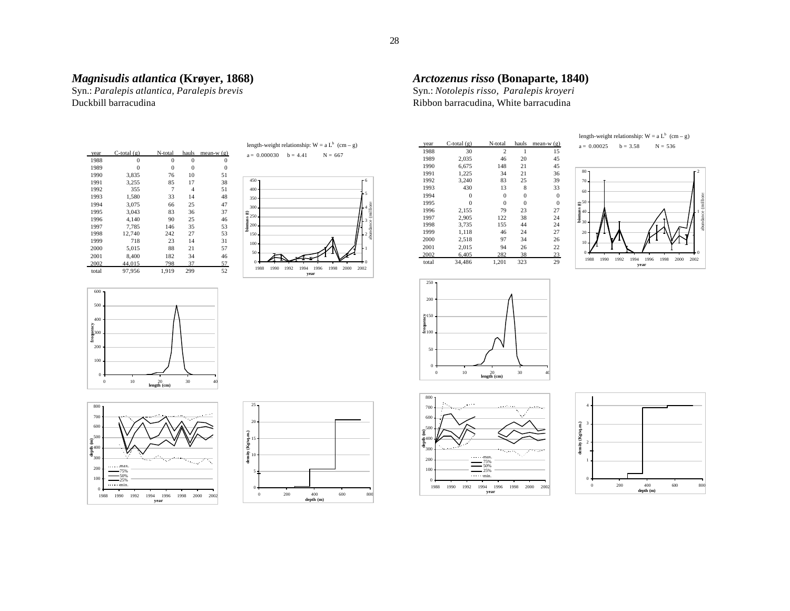# *Magnisudis atlantica* **(Krøyer, 1868)**

Syn.: *Paralepis atlantica, Paralepis brevis* Duckbill barracudina

| year  | $C$ -total $(g)$ | N-total  | hauls    | $mean-w(g)$ |
|-------|------------------|----------|----------|-------------|
| 1988  | 0                | $\Omega$ | $\Omega$ | 0           |
| 1989  | 0                | $\Omega$ | $\Omega$ | 0           |
| 1990  | 3.835            | 76       | 10       | 51          |
| 1991  | 3.255            | 85       | 17       | 38          |
| 1992  | 355              | 7        | 4        | 51          |
| 1993  | 1.580            | 33       | 14       | 48          |
| 1994  | 3.075            | 66       | 25       | 47          |
| 1995  | 3.043            | 83       | 36       | 37          |
| 1996  | 4.140            | 90       | 25       | 46          |
| 1997  | 7.785            | 146      | 35       | 53          |
| 1998  | 12.740           | 242      | 27       | 53          |
| 1999  | 718              | 23       | 14       | 31          |
| 2000  | 5.015            | 88       | 21       | 57          |
| 2001  | 8.400            | 182      | 34       | 46          |
| 2002  | 44,015           | 798      | 37       | 57          |
| total | 97,956           | 1.919    | 299      | 52          |





Ribbon barracudina, White barracudina



length-weight relationship:  $W = a L^b$  (cm – g)













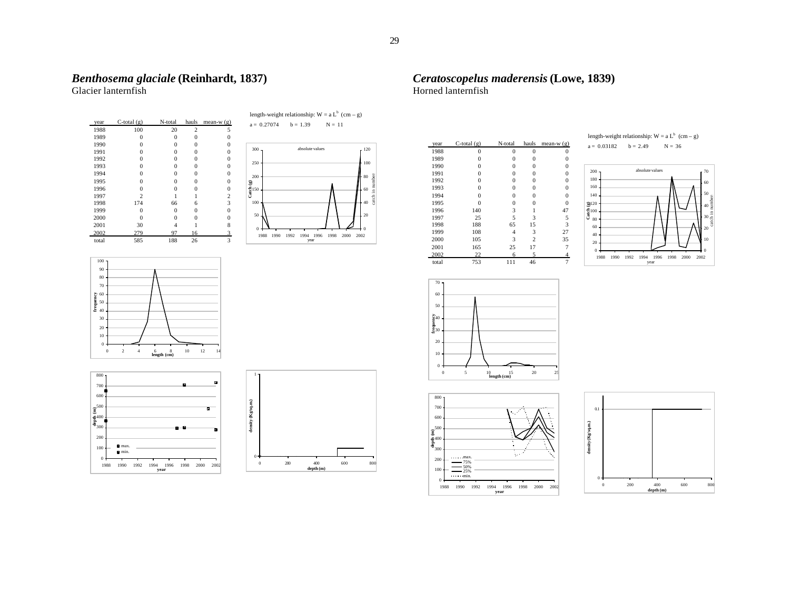## *Benthosema glaciale* **(Reinhardt, 1837)**

Glacier lanternfish





length-weight relationship:  $W = a L^b$  (cm – g)







#### *Ceratoscopelus maderensis* **(Lowe, 1839)** Horned lanternfish











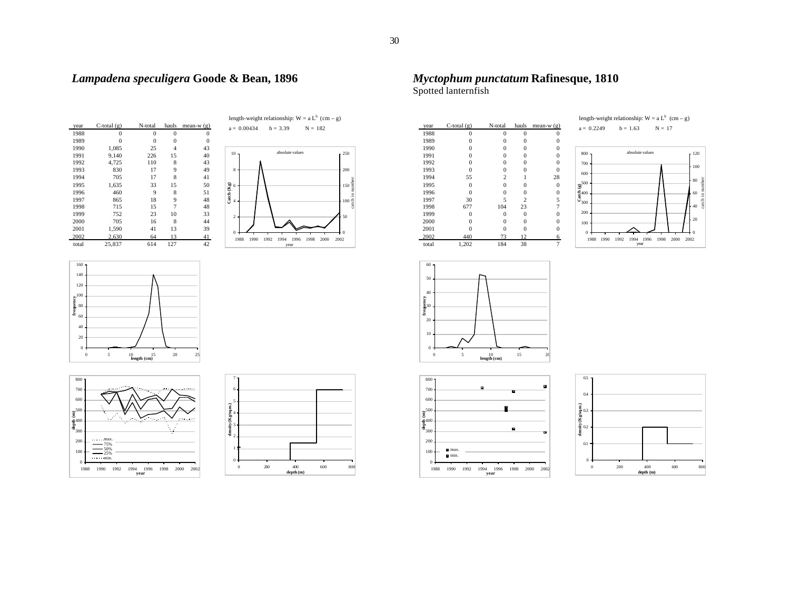



length-weight relationship:  $W = a L^b$  (cm – g)













length-weight relationship:  $W = a L^b$  (cm – g)





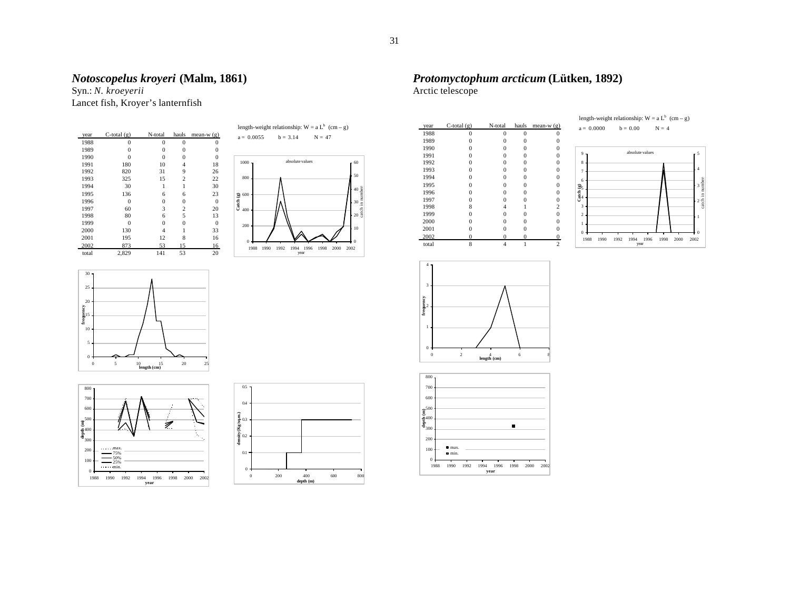## *Notoscopelus kroyeri* **(Malm, 1861)**

Syn.: *N. kroeyerii*  Lancet fish, Kroyer's lanternfish





length-weight relationship:  $W = a L^b$  (cm – g)







# *Protomyctophum arcticum* **(Lütken, 1892)**

Arctic telescope









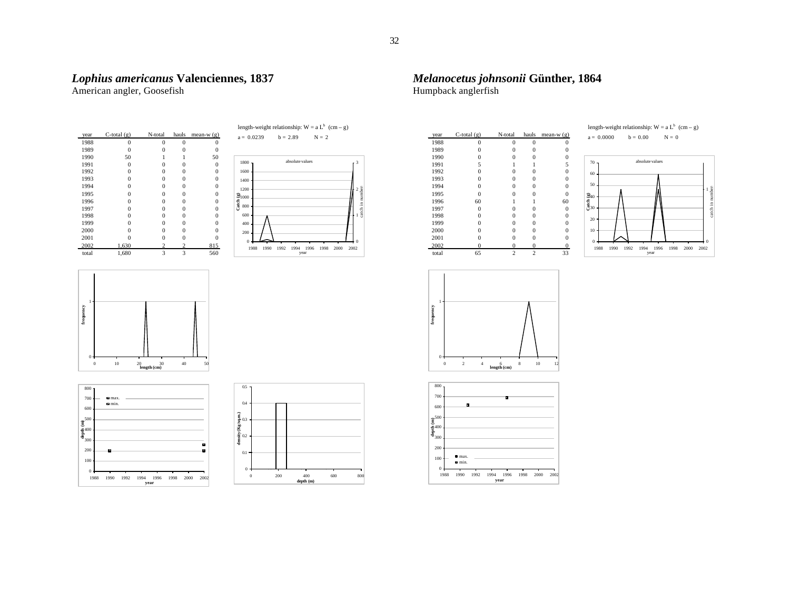## *Lophius americanus* **Valenciennes, 1837**

American angler, Goosefish









# *Melanocetus johnsonii* **Günther, 1864**

Humpback anglerfish





length-weight relationship:  $W = a L^b$  (cm – g)

 $a = 0.0000$   $b = 0.00$   $N = 0$ 





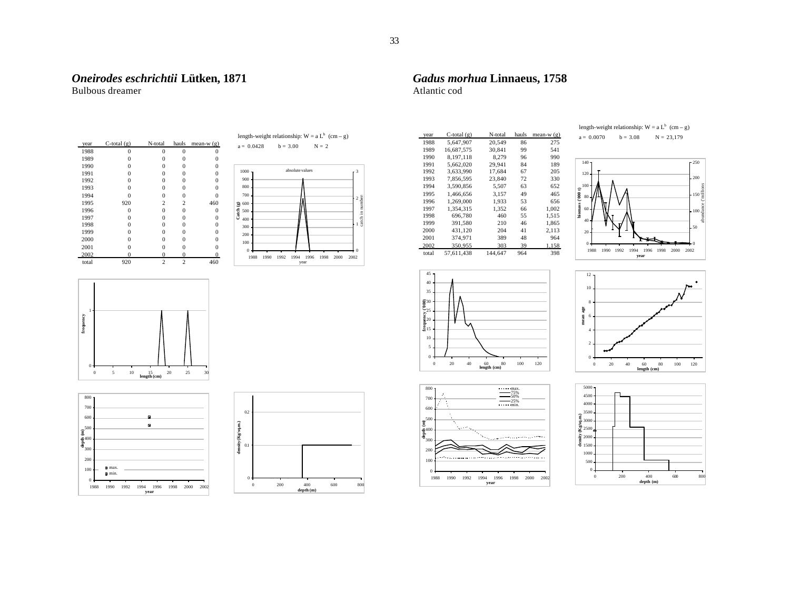## *Oneirodes eschrichtii* **Lütken, 1871**

Bulbous dreamer











| year  | $C$ -total $(g)$ | N-total | hauls | mean-w $(g)$ |
|-------|------------------|---------|-------|--------------|
| 1988  | 5.647.907        | 20.549  | 86    | 275          |
| 1989  | 16.687.575       | 30,841  | 99    | 541          |
| 1990  | 8.197.118        | 8.279   | 96    | 990          |
| 1991  | 5.662.020        | 29.941  | 84    | 189          |
| 1992  | 3,633,990        | 17.684  | 67    | 205          |
| 1993  | 7.856.595        | 23.840  | 72    | 330          |
| 1994  | 3.590.856        | 5.507   | 63    | 652          |
| 1995  | 1.466.656        | 3.157   | 49    | 465          |
| 1996  | 1.269.000        | 1.933   | 53    | 656          |
| 1997  | 1.354.315        | 1.352   | 66    | 1.002        |
| 1998  | 696.780          | 460     | 55    | 1.515        |
| 1999  | 391.580          | 210     | 46    | 1.865        |
| 2000  | 431.120          | 204     | 41    | 2.113        |
| 2001  | 374.971          | 389     | 48    | 964          |
| 2002  | 350,955          | 303     | 39    | 1.158        |
| total | 57.611.438       | 144.647 | 964   | 398          |

length-weight relationship:  $W = a L^b$  (cm – g)  $a = 0.0070$   $b = 3.08$   $N = 23,179$ 







 





catch in numbers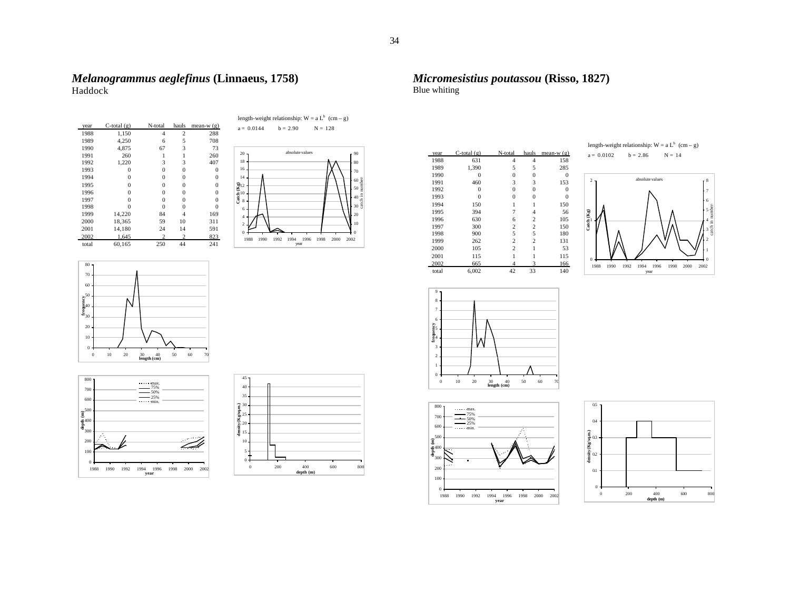| year  | $C$ -total $(g)$ | N-total        | hauls          | mean-w $(g)$ |
|-------|------------------|----------------|----------------|--------------|
| 1988  | 1,150            | 4              | $\overline{c}$ | 288          |
| 1989  | 4,250            | 6              | 5              | 708          |
| 1990  | 4.875            | 67             | 3              | 73           |
| 1991  | 260              |                | 1              | 260          |
| 1992  | 1,220            | 3              | 3              | 407          |
| 1993  | 0                | 0              | $\mathbf{0}$   | 0            |
| 1994  | 0                | 0              | $\overline{0}$ | 0            |
| 1995  | $\Omega$         | 0              | $\mathbf{0}$   | $\mathbf{0}$ |
| 1996  | $\Omega$         | 0              | $\mathbf{0}$   | $\mathbf{0}$ |
| 1997  | $\mathbf{0}$     | 0              | $\Omega$       | $\mathbf{0}$ |
| 1998  | 0                | 0              | $\Omega$       | $\Omega$     |
| 1999  | 14,220           | 84             | $\overline{4}$ | 169          |
| 2000  | 18,365           | 59             | 10             | 311          |
| 2001  | 14.180           | 24             | 14             | 591          |
| 2002  | 1,645            | $\mathfrak{D}$ | 2              | 823          |
| total | 60,165           | 250            | 44             | 241          |



length-weight relationship:  $W = a L^b$  (cm – g)







#### *Micromesistius poutassou* **(Risso, 1827)** Blue whiting

 $rac{\text{year}}{\text{1988}}$  C-total (g) N-total hauls mean-w (g)  $a = 0.0102$  b = 2.86 N = 14 631 4 4 158 1989 1,390 5 5 285<br>1990 0 0 0 0 0 0 0 0 460 3 3 153 0 0 0 0 0 0 0 0 1994 150 1 1 1 150 394 7 4 56 630 6 2 105 300 2 2 150 900 5 5 180 262 2 2 131 105 2 1 53 115 1 1 115 665 4 3 166 total 6,002 42 33 140









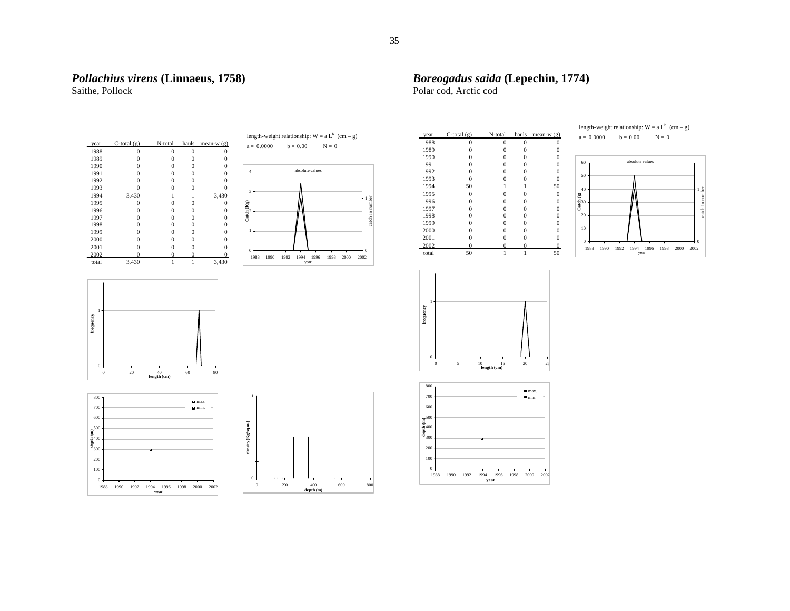# *Pollachius virens* **(Linnaeus, 1758)**

Saithe, Pollock

 1990 1992 1994 1996 1998 2000 2002 **year**



 200 400 600 800 **depth (m)**

## *Boreogadus saida* **(Lepechin, 1774)**

Polar cod, Arctic cod





length-weight relationship:  $W = a L^b$  (cm – g)



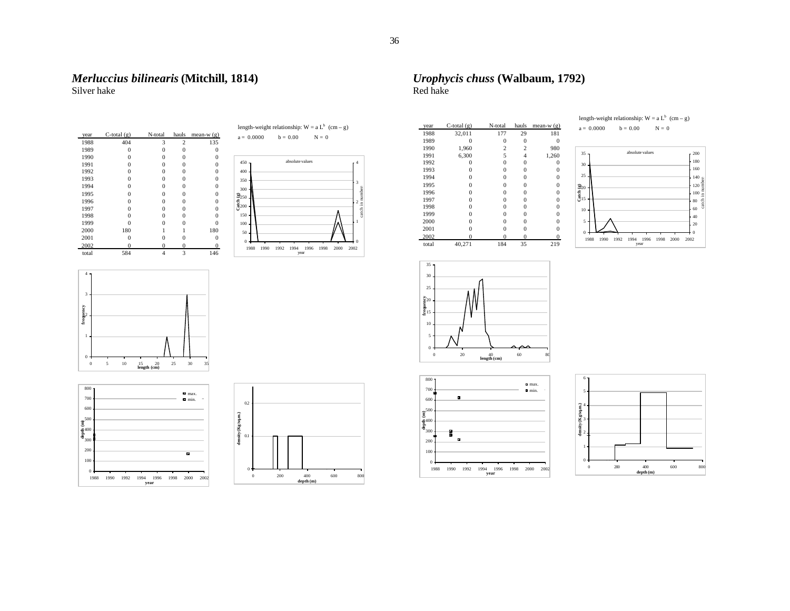# *Merluccius bilinearis* **(Mitchill, 1814)**

Silver hake









## *Urophycis chuss* **(Walbaum, 1792)** Red hake





length-weight relationship:  $W = a L^b$  (cm – g)

 $a = 0.0000$   $b = 0.00$   $N = 0$ 







catch in number 

catch in number.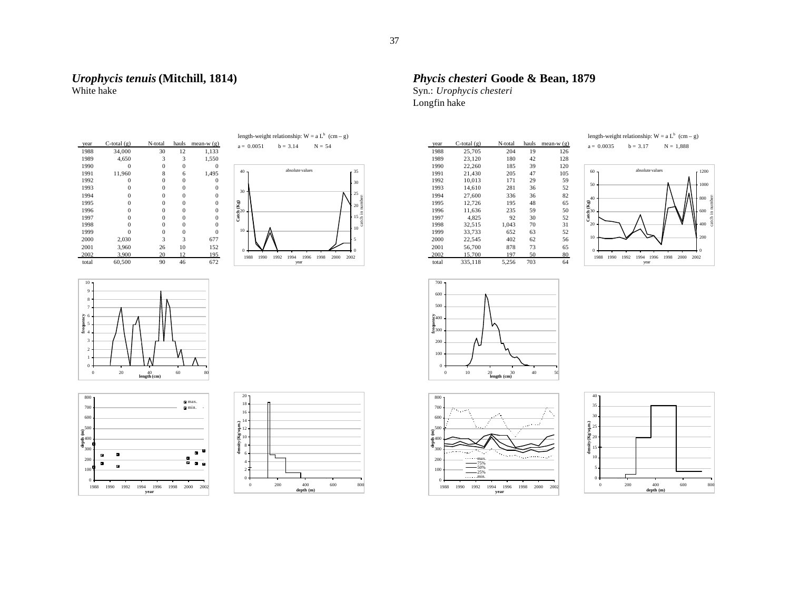#### *Urophycis tenuis* **(Mitchill, 1814)** White hake











## *Phycis chesteri* **Goode & Bean, 1879**

Syn.: *Urophycis chesteri* Longfin hake

| year  | $C$ -total $(g)$ | N-total | hauls | mean-w $(g)$ |
|-------|------------------|---------|-------|--------------|
| 1988  | 25,705           | 204     | 19    | 126          |
| 1989  | 23.120           | 180     | 42    | 128          |
| 1990  | 22.260           | 185     | 39    | 120          |
| 1991  | 21.430           | 205     | 47    | 105          |
| 1992  | 10.013           | 171     | 29    | 59           |
| 1993  | 14.610           | 281     | 36    | 52           |
| 1994  | 27,600           | 336     | 36    | 82           |
| 1995  | 12,726           | 195     | 48    | 65           |
| 1996  | 11.636           | 235     | 59    | 50           |
| 1997  | 4.825            | 92      | 30    | 52           |
| 1998  | 32.515           | 1.043   | 70    | 31           |
| 1999  | 33.733           | 652     | 63    | 52           |
| 2000  | 22.545           | 402     | 62    | 56           |
| 2001  | 56,700           | 878     | 73    | 65           |
| 2002  | 15.700           | 197     | 50    | 80           |
| total | 335.118          | 5.256   | 703   | 64           |









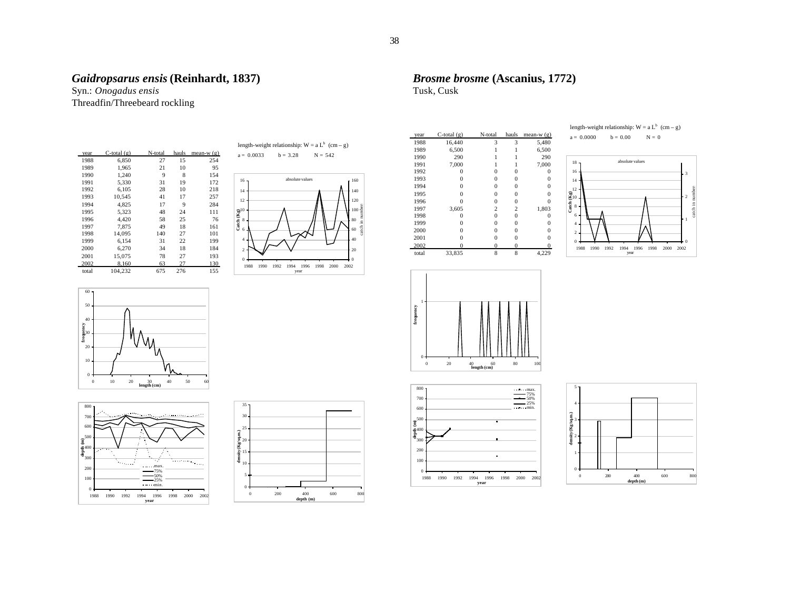# *Gaidropsarus ensis* **(Reinhardt, 1837)**

Syn.: *Onogadus ensis* Threadfin/Threebeard rockling

| year  | $C$ -total $(g)$ | N-total | hauls | $mean-w(g)$ |
|-------|------------------|---------|-------|-------------|
| 1988  | 6.850            | 27      | 15    | 254         |
| 1989  | 1.965            | 21      | 10    | 95          |
| 1990  | 1.240            | 9       | 8     | 154         |
| 1991  | 5.330            | 31      | 19    | 172         |
| 1992  | 6.105            | 28      | 10    | 218         |
| 1993  | 10.545           | 41      | 17    | 257         |
| 1994  | 4.825            | 17      | 9     | 284         |
| 1995  | 5.323            | 48      | 24    | 111         |
| 1996  | 4.420            | 58      | 25    | 76          |
| 1997  | 7.875            | 49      | 18    | 161         |
| 1998  | 14.095           | 140     | 27    | 101         |
| 1999  | 6.154            | 31      | 22    | 199         |
| 2000  | 6.270            | 34      | 18    | 184         |
| 2001  | 15.075           | 78      | 27    | 193         |
| 2002  | 8,160            | 63      | 27    | 130         |
| total | 104,232          | 675     | 276   | 155         |



## *Brosme brosme* **(Ascanius, 1772)**

Tusk, Cusk



length-weight relationship:  $W = a L^b$  (cm – g)

 $a = 0.0000$   $b = 0.00$   $N = 0$ 







**year**







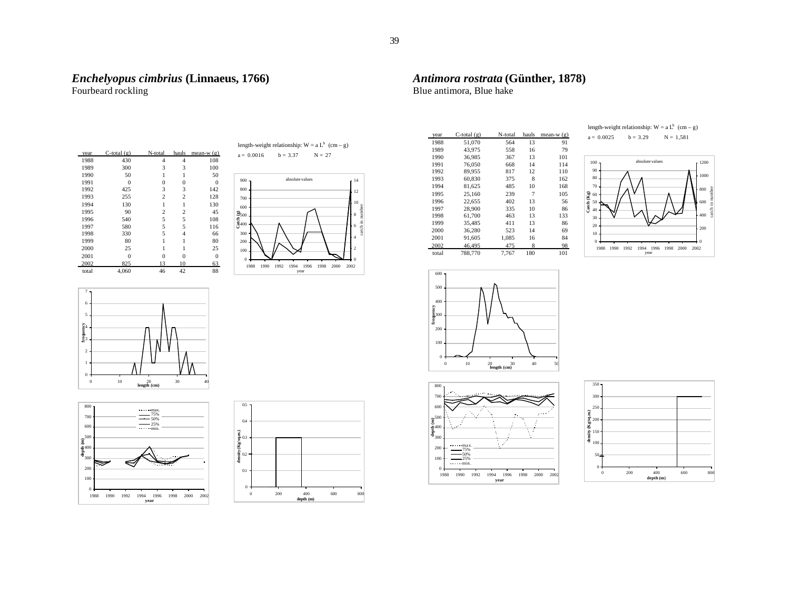# *Enchelyopus cimbrius* **(Linnaeus, 1766)**

Fourbeard rockling

| year  | $C$ -total $(g)$ | N-total        | hauls          | mean-w $(g)$ |
|-------|------------------|----------------|----------------|--------------|
| 1988  | 430              | $\overline{4}$ | $\overline{4}$ | 108          |
| 1989  | 300              | 3              | 3              | 100          |
| 1990  | 50               | 1              | 1              | 50           |
| 1991  | 0                | $\Omega$       | $\mathbf{0}$   | $\Omega$     |
| 1992  | 425              | 3              | 3              | 142          |
| 1993  | 255              | $\overline{c}$ | 2              | 128          |
| 1994  | 130              | 1              |                | 130          |
| 1995  | 90               | 2              | 2              | 45           |
| 1996  | 540              | 5              | 5              | 108          |
| 1997  | 580              | 5              | 5              | 116          |
| 1998  | 330              | 5              | $\overline{4}$ | 66           |
| 1999  | 80               |                |                | 80           |
| 2000  | 25               | 1              |                | 25           |
| 2001  | 0                | $\Omega$       | $\Omega$       | $\Omega$     |
| 2002  | 825              | 13             | 10             | 63           |
| total | 4.060            | 46             | 42             | 88           |





Blue antimora, Blue hake

| vear  | $C$ -total $(g)$ | N-total | hauls | mean-w $(g)$ |
|-------|------------------|---------|-------|--------------|
| 1988  | 51.070           | 564     | 13    | 91           |
| 1989  | 43.975           | 558     | 16    | 79           |
| 1990  | 36.985           | 367     | 13    | 101          |
| 1991  | 76,050           | 668     | 14    | 114          |
| 1992  | 89.955           | 817     | 12    | 110          |
| 1993  | 60.830           | 375     | 8     | 162          |
| 1994  | 81.625           | 485     | 10    | 168          |
| 1995  | 25.160           | 239     | 7     | 105          |
| 1996  | 22,655           | 402     | 13    | 56           |
| 1997  | 28,900           | 335     | 10    | 86           |
| 1998  | 61,700           | 463     | 13    | 133          |
| 1999  | 35.485           | 411     | 13    | 86           |
| 2000  | 36.280           | 523     | 14    | 69           |
| 2001  | 91,605           | 1.085   | 16    | 84           |
| 2002  | 46,495           | 475     | 8     | 98           |
| total | 788,770          | 7.767   | 180   | 101          |

length-weight relationship:  $W = a L^b$  (cm – g)  $a = 0.0025$   $b = 3.29$   $N = 1,581$ 















catch in number.

atch in numbe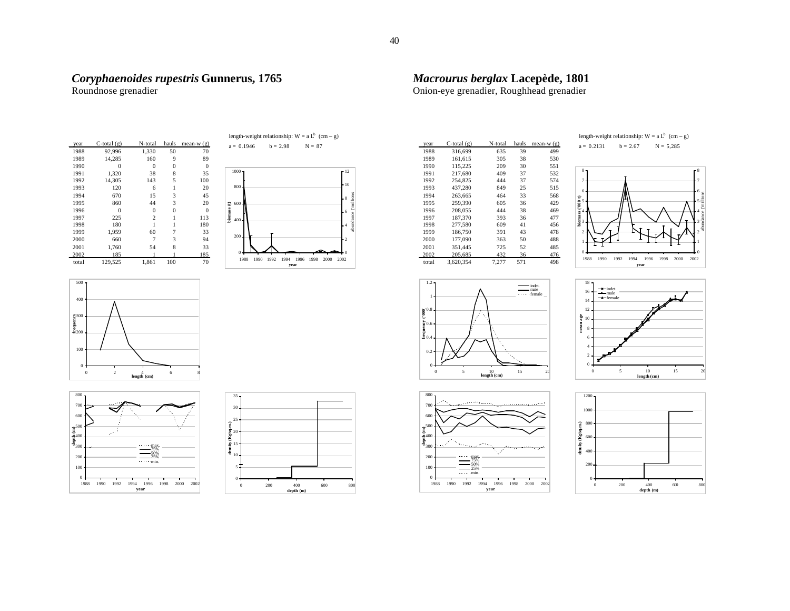# *Coryphaenoides rupestris* **Gunnerus, 1765**

Roundnose grenadier











# *Macrourus berglax* **Lacepède, 1801**

Onion-eye grenadier, Roughhead grenadier





 1990 1992 1994 1996 1998 2000 2002 **year**

 $\mathbf 0$  abundance ('millions)

length-weight relationship:  $W = a L^b$  (cm – g)



indet. male female



0 5 10 15 20<br>**length (cm)** 

 $\Omega$ 0.2 0.4 0.6  $\left| \underset{\sim}{\mathbf{g}} \right|^{0.8}$  1.2

**frequency ('000)**

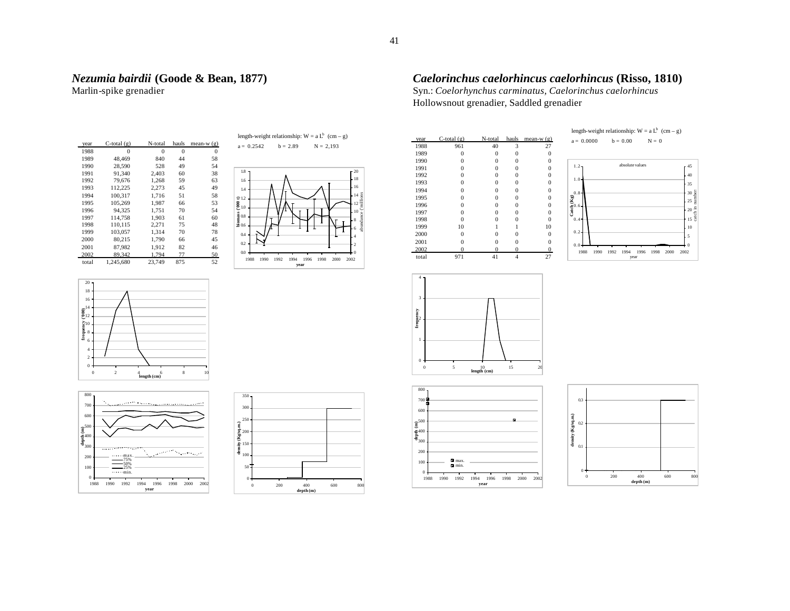## *Nezumia bairdii* **(Goode & Bean, 1877)**

Marlin-spike grenadier











## *Caelorinchus caelorhincus caelorhincus* **(Risso, 1810)**

Syn.: *Coelorhynchus carminatus, Caelorinchus caelorhincus* Hollowsnout grenadier, Saddled grenadier





length-weight relationship:  $W = a L^b$  (cm – g)

 $a = 0.0000$   $b = 0.00$   $N = 0$ 





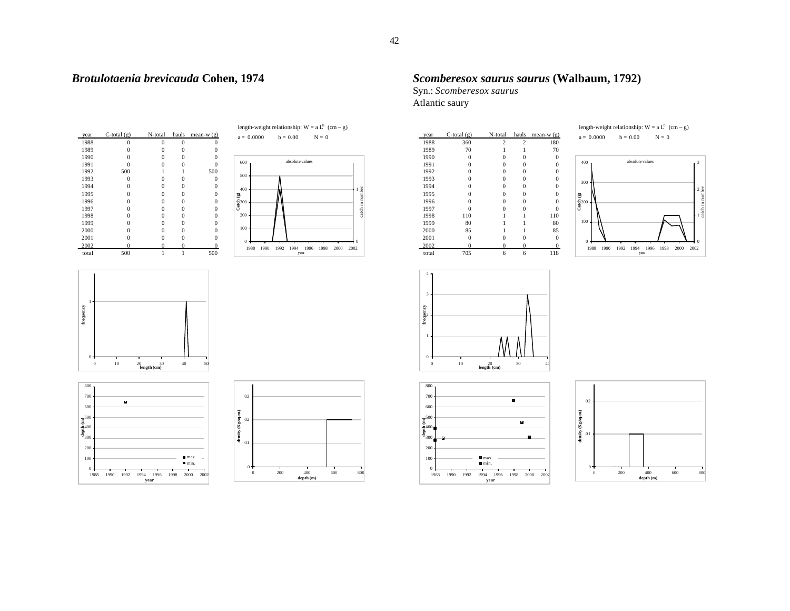

**year**

## *Brotulotaenia brevicauda* **Cohen, 1974** *Scomberesox saurus saurus* **(Walbaum, 1792)**

Syn.: *Scomberesox saurus* Atlantic saury



 $a = 0.0000$   $b = 0.00$   $N = 0$ absolute values  $\Omega$  ම<br><del>ද</del>ු200<br>ෆ් 1990 1992 1994 1996 1998 2000 2002 year catch in number.

length-weight relationship:  $W = a L^b$  (cm – g)



  $\blacksquare$   $\widehat{\mathsf{g}}^{500}$  $\blacksquare$ ិ៍<br>ម្ដុ<sup>400</sup><br>ចំ  $\blacksquare$  max. min.  $\,$  0  $\,$  1990 1992 1994 1996 1998 2000 2002 **year**

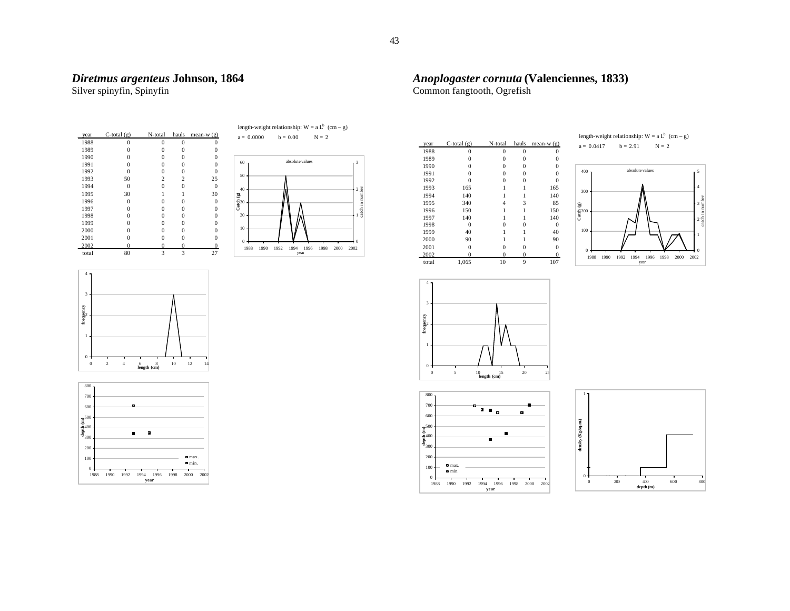## *Diretmus argenteus* **Johnson, 1864**

Silver spinyfin, Spinyfin







## *Anoplogaster cornuta* **(Valenciennes, 1833)**

Common fangtooth, Ogrefish









 $\Omega$  ិ៍<br>ម្ដុ<sup>400</sup><br>ចំ  $\Big| \, \widehat{\underline{\mathsf{g}}}^{500}$  





catch in number.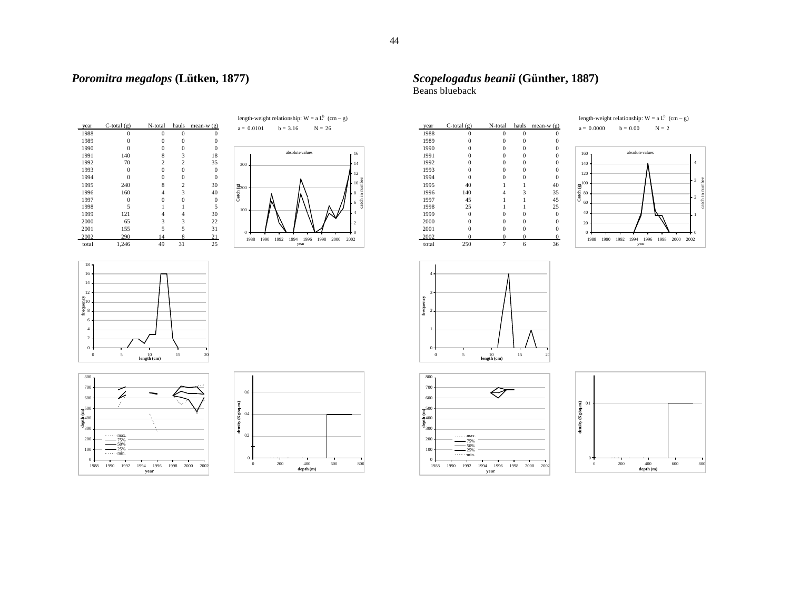







length-weight relationship:  $W = a L^b$  (cm – g)

absolute values

 1990 1992 1994 1996 1998 2000 2002 year

catch in number.

 $\Omega$ 

 ම<sub>200</sub><br>ජූ<br>ට්

### *Poromitra megalops* **(Lütken, 1877)** *Scopelogadus beanii* **(Günther, 1887)** Beans blueback







 $\begin{array}{c} 0 \\ 1988 \end{array}$  500 **depth (m)**

 



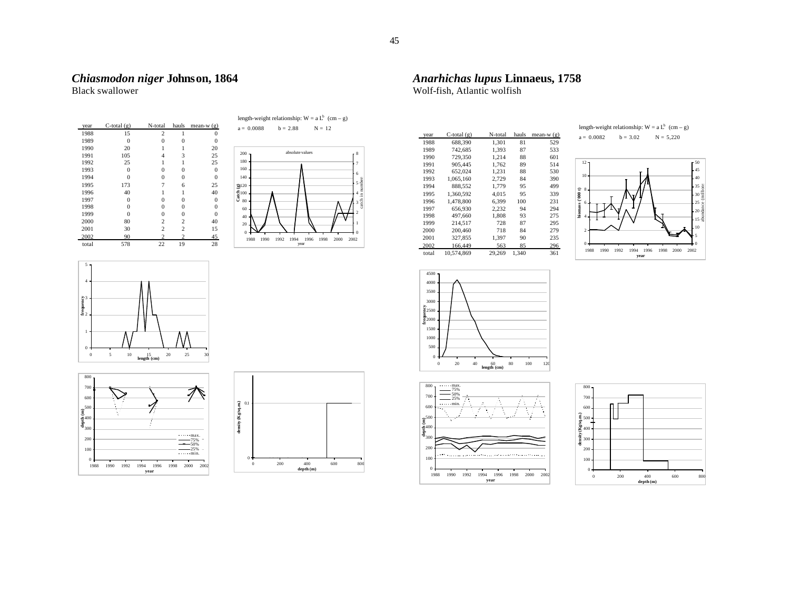## *Chiasmodon niger* **Johnson, 1864**

Black swallower











## *Anarhichas lupus* **Linnaeus, 1758**

Wolf-fish, Atlantic wolfish

| vear  | $C$ -total $(g)$ | N-total | hauls | $mean-w(g)$ |
|-------|------------------|---------|-------|-------------|
| 1988  | 688.390          | 1.301   | 81    | 529         |
| 1989  | 742.685          | 1.393   | 87    | 533         |
| 1990  | 729,350          | 1.214   | 88    | 601         |
| 1991  | 905.445          | 1.762   | 89    | 514         |
| 1992  | 652.024          | 1.231   | 88    | 530         |
| 1993  | 1.065.160        | 2.729   | 84    | 390         |
| 1994  | 888.552          | 1.779   | 95    | 499         |
| 1995  | 1.360.592        | 4.015   | 95    | 339         |
| 1996  | 1.478.800        | 6.399   | 100   | 231         |
| 1997  | 656.930          | 2.232   | 94    | 294         |
| 1998  | 497,660          | 1,808   | 93    | 275         |
| 1999  | 214.517          | 728     | 87    | 295         |
| 2000  | 200,460          | 718     | 84    | 279         |
| 2001  | 327,855          | 1,397   | 90    | 235         |
| 2002  | 166,449          | 563     | 85    | 296         |
| total | 10,574,869       | 29.269  | 1.340 | 361         |









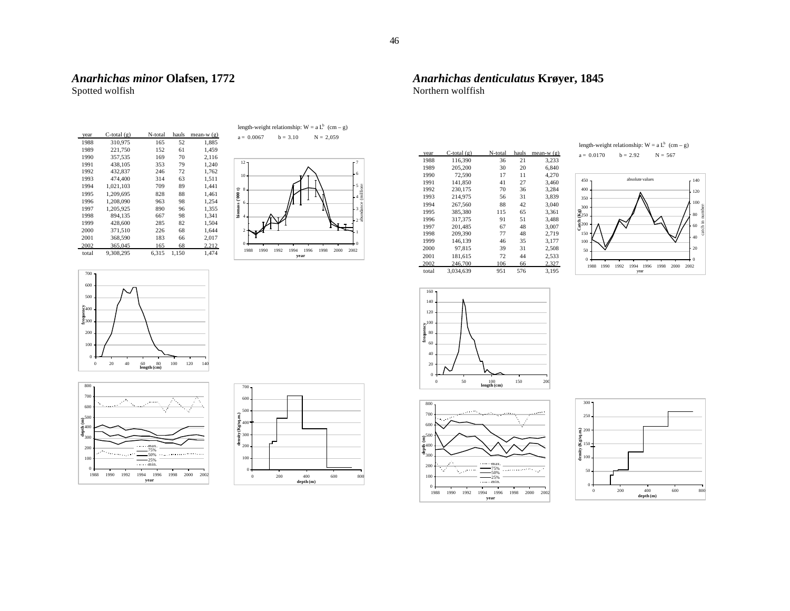## *Anarhichas minor* **Olafsen, 1772**

Spotted wolfish









length-weight relationship:  $W = a L^b$  (cm – g)













#### *Anarhichas denticulatus* **Krøyer, 1845** Northern wolffish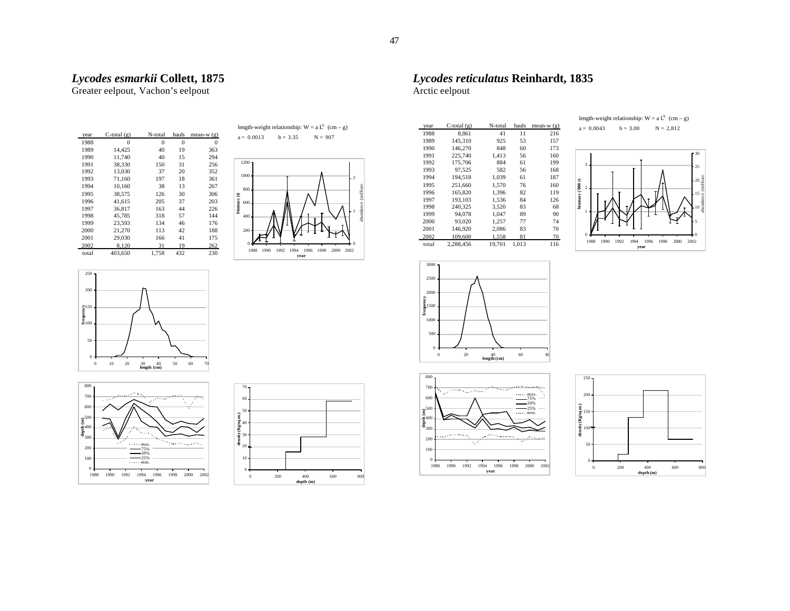# *Lycodes esmarkii* **Collett, 1875**

Greater eelpout, Vachon's eelpout











### *Lycodes reticulatus* **Reinhardt, 1835** Arctic eelpout

| vear  | $C$ -total $(g)$ | N-total | hauls | mean-w $(g)$ |
|-------|------------------|---------|-------|--------------|
| 1988  | 8,861            | 41      | 11    | 216          |
| 1989  | 145.310          | 925     | 53    | 157          |
| 1990  | 146,270          | 848     | 60    | 173          |
| 1991  | 225,740          | 1.413   | 56    | 160          |
| 1992  | 175,706          | 884     | 61    | 199          |
| 1993  | 97.525           | 582     | 56    | 168          |
| 1994  | 194.518          | 1.039   | 61    | 187          |
| 1995  | 251.660          | 1.570   | 76    | 160          |
| 1996  | 165,820          | 1.396   | 82    | 119          |
| 1997  | 193.103          | 1.536   | 84    | 126          |
| 1998  | 240,325          | 3,520   | 83    | 68           |
| 1999  | 94.078           | 1.047   | 89    | 90           |
| 2000  | 93,020           | 1.257   | 77    | 74           |
| 2001  | 146,920          | 2.086   | 83    | 70           |
| 2002  | 109.600          | 1.558   | 81    | 70           |
| total | 2.288.456        | 19.701  | 1.013 | 116          |
|       |                  |         |       |              |







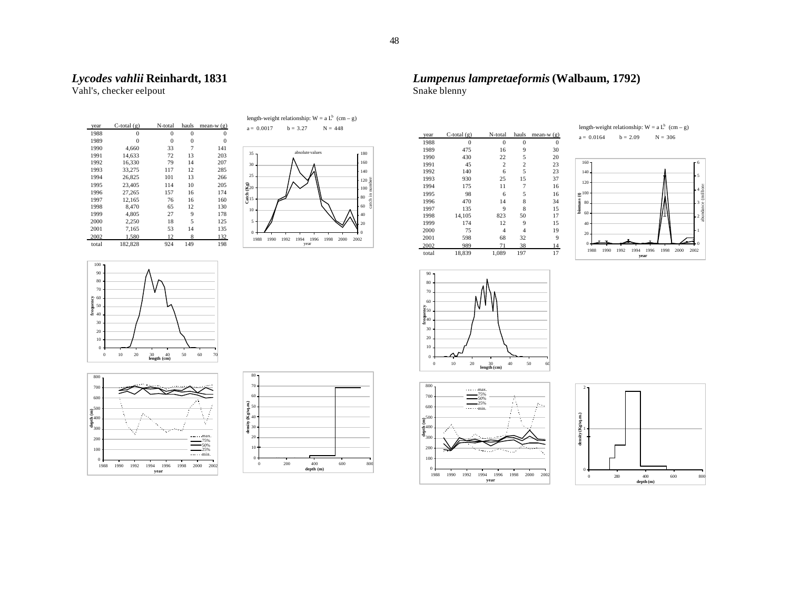## *Lycodes vahlii* **Reinhardt, 1831**

Vahl's, checker eelpout

| vear  | $C$ -total $(g)$ | N-total      | hauls    | mean-w $(g)$ |
|-------|------------------|--------------|----------|--------------|
| 1988  | 0                | $\Omega$     | $\Omega$ | 0            |
| 1989  | 0                | $\mathbf{0}$ | $\Omega$ | $\Omega$     |
| 1990  | 4.660            | 33           | 7        | 141          |
| 1991  | 14.633           | 72           | 13       | 203          |
| 1992  | 16,330           | 79           | 14       | 207          |
| 1993  | 33,275           | 117          | 12       | 285          |
| 1994  | 26.825           | 101          | 13       | 266          |
| 1995  | 23,405           | 114          | 10       | 205          |
| 1996  | 27.265           | 157          | 16       | 174          |
| 1997  | 12.165           | 76           | 16       | 160          |
| 1998  | 8.470            | 65           | 12       | 130          |
| 1999  | 4.805            | 27           | 9        | 178          |
| 2000  | 2,250            | 18           | 5        | 125          |
| 2001  | 7,165            | 53           | 14       | 135          |
| 2002  | 1.580            | 12           | 8        | 132          |
| total | 182.828          | 924          | 149      | 198          |



length-weight relationship:  $W = a L^b$  (cm – g)

















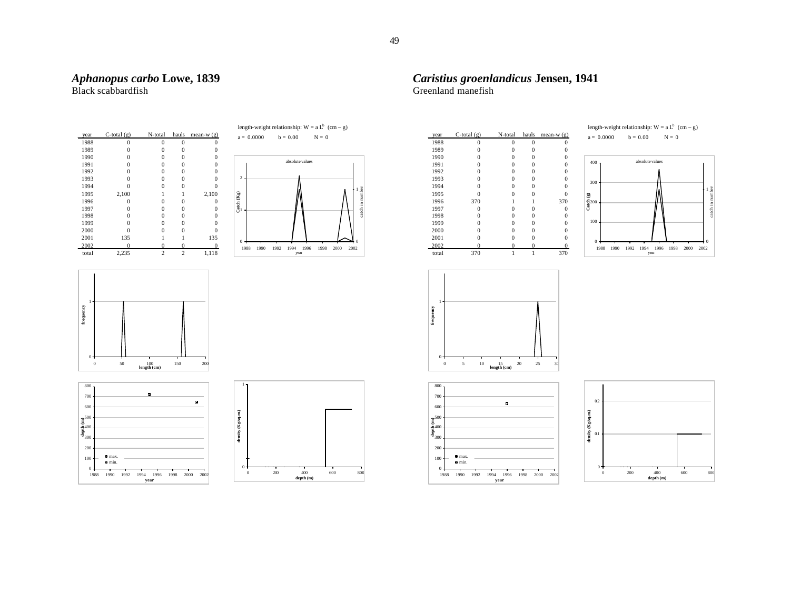## *Aphanopus carbo* **Lowe, 1839**

Black scabbardfish



# *Caristius groenlandicus* **Jensen, 1941**

Greenland manefish









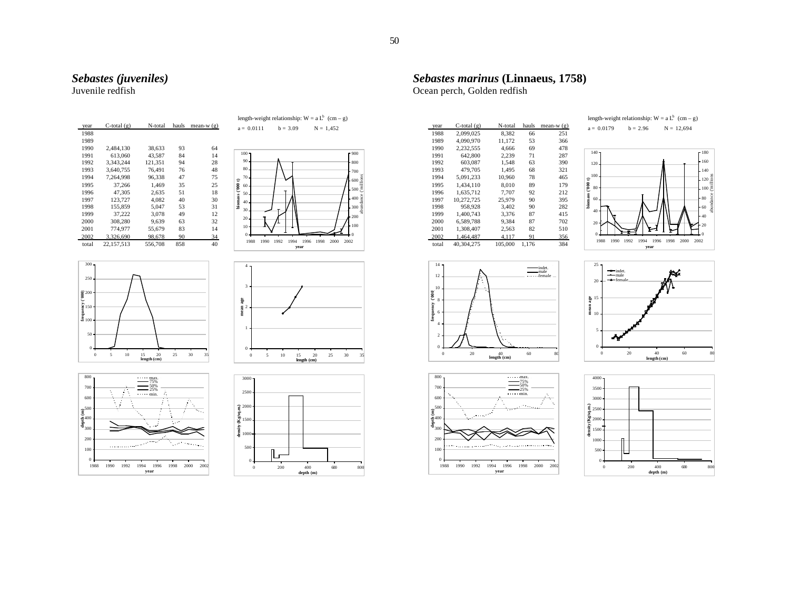# *Sebastes (juveniles)*

Juvenile redfish

 

> $\begin{array}{c} 0 \\ 1988 \end{array}$  500 **depth (m)**

 1990 1992 1994 1996 1998 2000 2002 **year**

 

**frequency ('000)**



5 10 15 20 25 30 35 **length (cm)**

 $\mathbf 0$ 200 400 600 800

**depth (m)**

## *Sebastes marinus* **(Linnaeus, 1758)**

Ocean perch, Golden redfish

| vear  | $C$ -total $(g)$ | N-total | hauls | $mean-w(g)$ |
|-------|------------------|---------|-------|-------------|
| 1988  | 2.099.025        | 8.382   | 66    | 251         |
| 1989  | 4,090,970        | 11.172  | 53    | 366         |
| 1990  | 2.232.555        | 4.666   | 69    | 478         |
| 1991  | 642,800          | 2.239   | 71    | 287         |
| 1992  | 603.087          | 1.548   | 63    | 390         |
| 1993  | 479.705          | 1.495   | 68    | 321         |
| 1994  | 5.091.233        | 10.960  | 78    | 465         |
| 1995  | 1.434.110        | 8,010   | 89    | 179         |
| 1996  | 1.635.712        | 7.707   | 92    | 212         |
| 1997  | 10.272.725       | 25,979  | 90    | 395         |
| 1998  | 958.928          | 3.402   | 90    | 282         |
| 1999  | 1.400.743        | 3.376   | 87    | 415         |
| 2000  | 6.589.788        | 9.384   | 87    | 702         |
| 2001  | 1.308.407        | 2,563   | 82    | 510         |
| 2002  | 1,464,487        | 4.117   | 91    | 356         |
| total | 40.304.275       | 105,000 | 1.176 | 384         |
|       |                  |         |       |             |





 1990 1992 1994 1996 1998 2000 2002 **year**

 $\mathbf 0$  <sup>200</sup> 400 **depth (m)**  $\frac{1}{3}$ <sup>500</sup> 



0월 15<br>10<br>El 10  $\frac{6}{4}$  15 

indet. male  $-$ femal



**length (cm)**

₩

 200 400 600 800 **depth (m)**



length-weight relationship:  $W = a L^b$  (cm – g)

 $a = 0.0179$   $b = 2.96$   $N = 12,694$ 



abundance ('millions)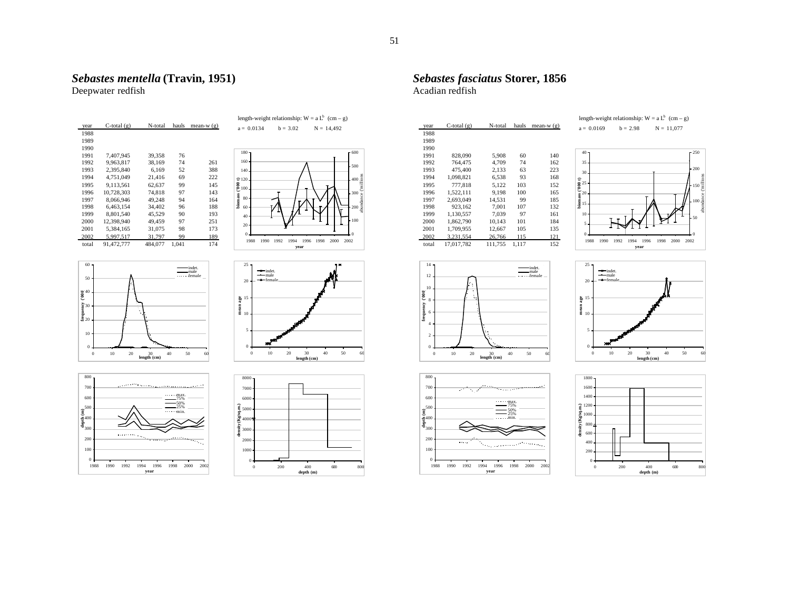## *Sebastes mentella* **(Travin, 1951)**

Deepwater redfish









length-weight relationship:  $W = a L^b$  (cm – g)



 10 20 30 40 50 60 **length (cm)**

 $\mathbf 0$ 

#### *Sebastes fasciatus* **Storer, 1856** Acadian redfish

| vear  | $C$ -total $(g)$ | N-total | hauls | $mean-w$ (g) |
|-------|------------------|---------|-------|--------------|
| 1988  |                  |         |       |              |
| 1989  |                  |         |       |              |
| 1990  |                  |         |       |              |
| 1991  | 828,090          | 5.908   | 60    | 140          |
| 1992  | 764,475          | 4.709   | 74    | 162          |
| 1993  | 475,400          | 2,133   | 63    | 223          |
| 1994  | 1.098.821        | 6.538   | 93    | 168          |
| 1995  | 777.818          | 5.122   | 103   | 152          |
| 1996  | 1.522.111        | 9.198   | 100   | 165          |
| 1997  | 2.693.049        | 14.531  | 99    | 185          |
| 1998  | 923.162          | 7.001   | 107   | 132          |
| 1999  | 1.130.557        | 7.039   | 97    | 161          |
| 2000  | 1.862.790        | 10.143  | 101   | 184          |
| 2001  | 1.709.955        | 12.667  | 105   | 135          |
| 2002  | 3.231.554        | 26.766  | 115   | 121          |
| total | 17.017.782       | 111.755 | 1.117 | 152          |
|       |                  |         |       |              |









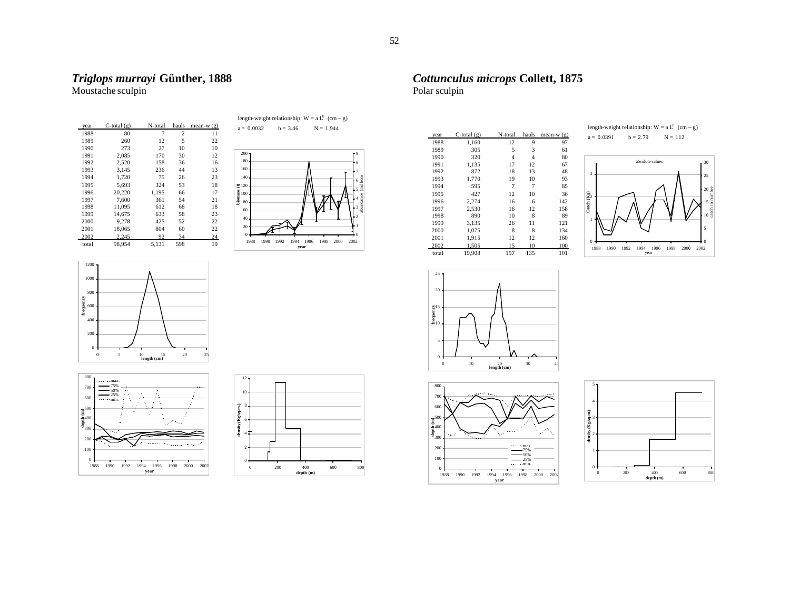# *Triglops murrayi* **Günther, 1888**

Moustache sculpin











### *Cottunculus microps* **Collett, 1875** Polar sculpin

| year  | $C$ -total $(g)$ | N-total        | hauls          | $mean-w(g)$ |
|-------|------------------|----------------|----------------|-------------|
| 1988  | 1,160            | 12             | 9              | 97          |
| 1989  | 305              | 5              | 3              | 61          |
| 1990  | 320              | 4              | $\overline{4}$ | 80          |
| 1991  | 1.135            | 17             | 12             | 67          |
| 1992  | 872              | 18             | 13             | 48          |
| 1993  | 1,770            | 19             | 10             | 93          |
| 1994  | 595              | $\overline{7}$ | $\overline{7}$ | 85          |
| 1995  | 427              | 12             | 10             | 36          |
| 1996  | 2,274            | 16             | 6              | 142         |
| 1997  | 2.530            | 16             | 12             | 158         |
| 1998  | 890              | 10             | 8              | 89          |
| 1999  | 3.135            | 26             | 11             | 121         |
| 2000  | 1,075            | 8              | 8              | 134         |
| 2001  | 1,915            | 12             | 12             | 160         |
| 2002  | 1,505            | 15             | 10             | 100         |
| total | 19.908           | 197            | 135            | 101         |









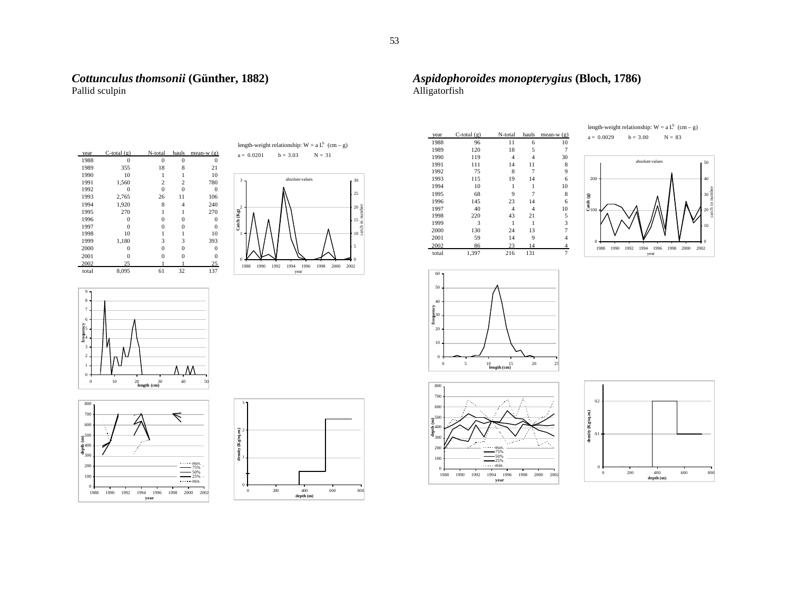# *Cottunculus thomsonii* **(Günther, 1882)**

Pallid sculpin











year

length-weight relationship:  $W = a L^b$  (cm – g)













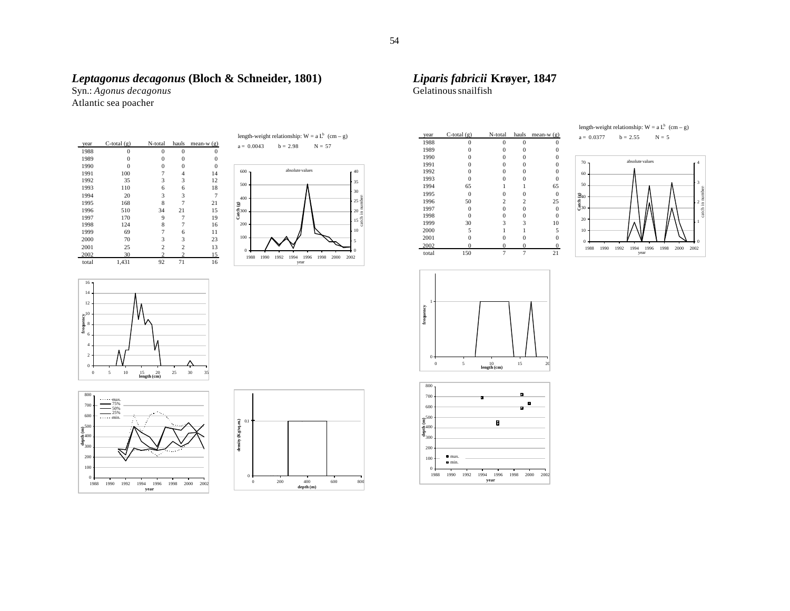## *Leptagonus decagonus* **(Bloch & Schneider, 1801)**

Syn.: *Agonus decagonus* Atlantic sea poacher











# *Liparis fabricii* **Krøyer, 1847**

Gelatinous snailfish



 $a = 0.0377$   $b = 2.55$   $N = 5$ absolute values 

length-weight relationship:  $W = a L^b$  (cm – g)





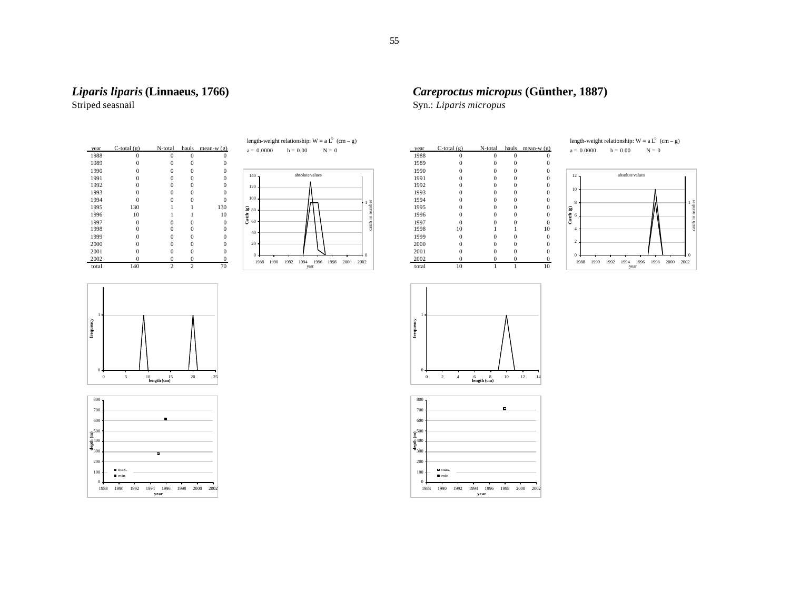## *Liparis liparis* **(Linnaeus, 1766)**

Striped seasnail







Syn.: *Liparis micropus*



 $a = 0.0000$   $b = 0.00$   $N = 0$ absolute values 6 **Catch (g)**  $12 -$  1990 1992 1994 1996 1998 2000 2002 .<br>year catch in number catch in numbers

length-weight relationship:  $W = a L^b$  (cm – g)







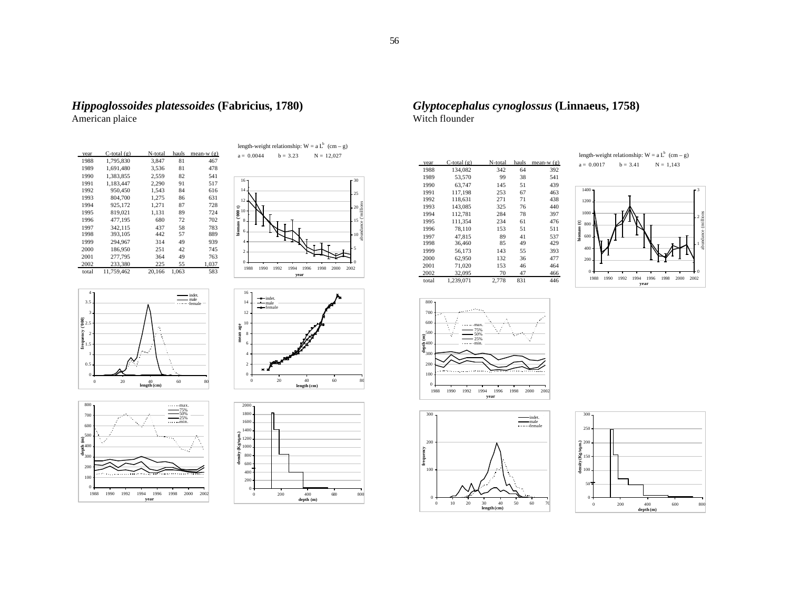## *Hippoglossoides platessoides* **(Fabricius, 1780)**

American plaice

| vear  | $C$ -total $(g)$ | N-total | hauls | mean-w $(g)$ |
|-------|------------------|---------|-------|--------------|
| 1988  | 1,795,830        | 3.847   | 81    | 467          |
| 1989  | 1.691.480        | 3,536   | 81    | 478          |
| 1990  | 1.383.855        | 2.559   | 82    | 541          |
| 1991  | 1.183.447        | 2.290   | 91    | 517          |
| 1992  | 950,450          | 1,543   | 84    | 616          |
| 1993  | 804.700          | 1.275   | 86    | 631          |
| 1994  | 925.172          | 1.271   | 87    | 728          |
| 1995  | 819.021          | 1.131   | 89    | 724          |
| 1996  | 477.195          | 680     | 72    | 702          |
| 1997  | 342.115          | 437     | 58    | 783          |
| 1998  | 393.105          | 442     | 57    | 889          |
| 1999  | 294,967          | 314     | 49    | 939          |
| 2000  | 186,950          | 251     | 42    | 745          |
| 2001  | 277,795          | 364     | 49    | 763          |
| 2002  | 233.380          | 225     | 55    | 1,037        |
| total | 11.759.462       | 20.166  | 1.063 | 583          |











## *Glyptocephalus cynoglossus* **(Linnaeus, 1758)** Witch flounder

| year  | $C$ -total $(g)$ | N-total | hauls | $mean-w(g)$ |
|-------|------------------|---------|-------|-------------|
| 1988  | 134.082          | 342     | 64    | 392         |
| 1989  | 53,570           | 99      | 38    | 541         |
| 1990  | 63.747           | 145     | 51    | 439         |
| 1991  | 117.198          | 253     | 67    | 463         |
| 1992  | 118.631          | 271     | 71    | 438         |
| 1993  | 143.085          | 325     | 76    | 440         |
| 1994  | 112.781          | 284     | 78    | 397         |
| 1995  | 111.354          | 234     | 61    | 476         |
| 1996  | 78.110           | 153     | 51    | 511         |
| 1997  | 47.815           | 89      | 41    | 537         |
| 1998  | 36,460           | 85      | 49    | 429         |
| 1999  | 56.173           | 143     | 55    | 393         |
| 2000  | 62.950           | 132     | 36    | 477         |
| 2001  | 71.020           | 153     | 46    | 464         |
| 2002  | 32,095           | 70      | 47    | 466         |
| total | 1.239.071        | 2.778   | 831   | 446         |
|       |                  |         |       |             |

length-weight relationship:  $W = a L^b$  (cm – g)  $a = 0.0017$   $b = 3.41$   $N = 1,143$ 







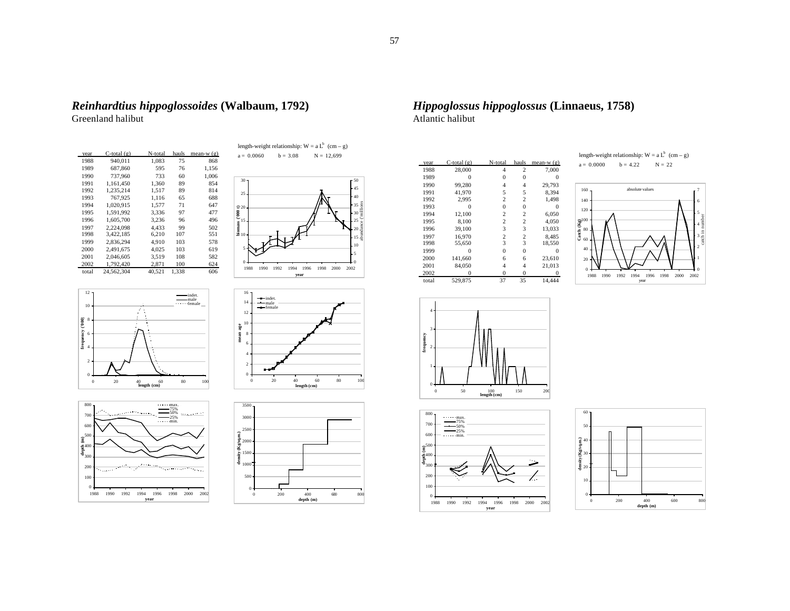# *Reinhardtius hippoglossoides* **(Walbaum, 1792)**

Greenland halibut





length-weight relationship:  $W = a L^b$  (cm – g)







 $\mathbf 0$ 

abundance ('millions)



## *Hippoglossus hippoglossus* **(Linnaeus, 1758)** Atlantic halibut



length-weight relationship:  $W = a L^b$  (cm – g)







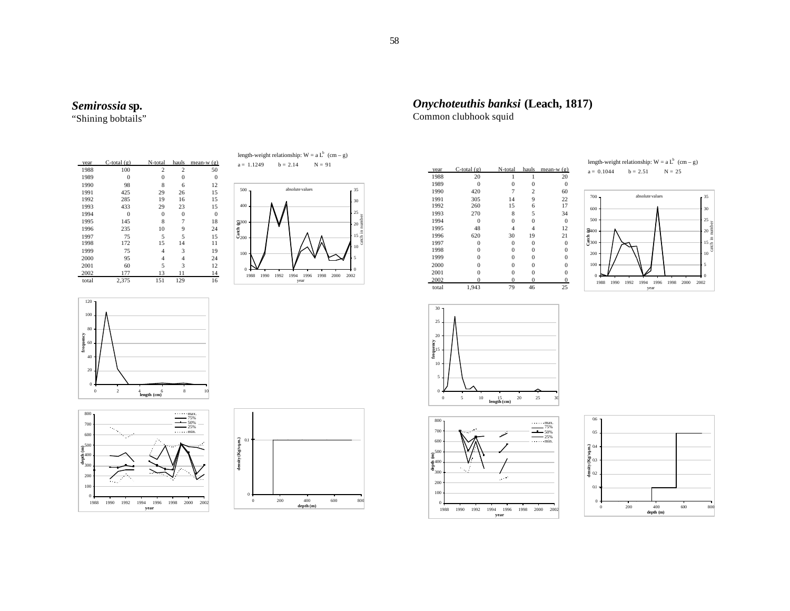*Semirossia* **sp.**

"Shining bobtails"





length-weight relationship:  $W = a L^b$  (cm – g)







# *Onychoteuthis banksi* **(Leach, 1817)**

Common clubhook squid

| year  | $C$ -total $(g)$ | N-total        | hauls          | $mean-w(g)$ |
|-------|------------------|----------------|----------------|-------------|
| 1988  | 20               | 1              |                | 20          |
| 1989  | $\Omega$         | $\Omega$       | $\Omega$       | 0           |
| 1990  | 420              | $\overline{7}$ | $\overline{c}$ | 60          |
| 1991  | 305              | 14             | 9              | 22          |
| 1992  | 260              | 15             | 6              | 17          |
| 1993  | 270              | 8              | 5              | 34          |
| 1994  | $\Omega$         | $\theta$       | $\Omega$       | $\Omega$    |
| 1995  | 48               | $\overline{4}$ | $\overline{4}$ | 12          |
| 1996  | 620              | 30             | 19             | 21          |
| 1997  | $\Omega$         | $\Omega$       | $\Omega$       | 0           |
| 1998  | $\Omega$         | $\Omega$       | $\Omega$       | 0           |
| 1999  | $\Omega$         | $\Omega$       | $\Omega$       | 0           |
| 2000  | $\Omega$         | $\theta$       | $\Omega$       | 0           |
| 2001  | $\Omega$         | $\theta$       | $\Omega$       | 0           |
| 2002  | 0                | $\mathbf{0}$   | 0              | 0           |
| total | 1.943            | 79             | 46             | 25          |

length-weight relationship:  $W = a L^b$  (cm – g)  $a = 0.1044$   $b = 2.51$   $N = 25$ 







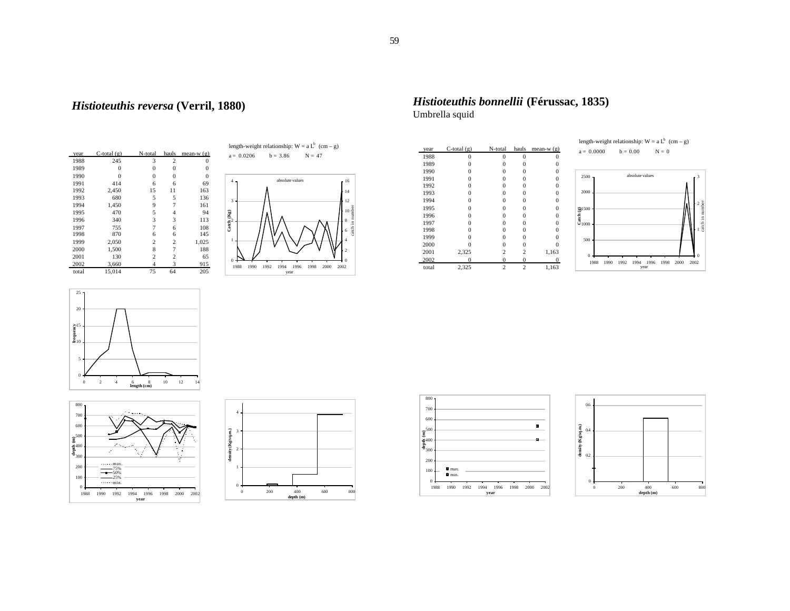



length-weight relationship:  $W = a L^b$  (cm – g)







length-weight relationship:  $W = a L^b$  (cm – g)  $a = 0.0000$   $b = 0.00$   $N = 0$ 











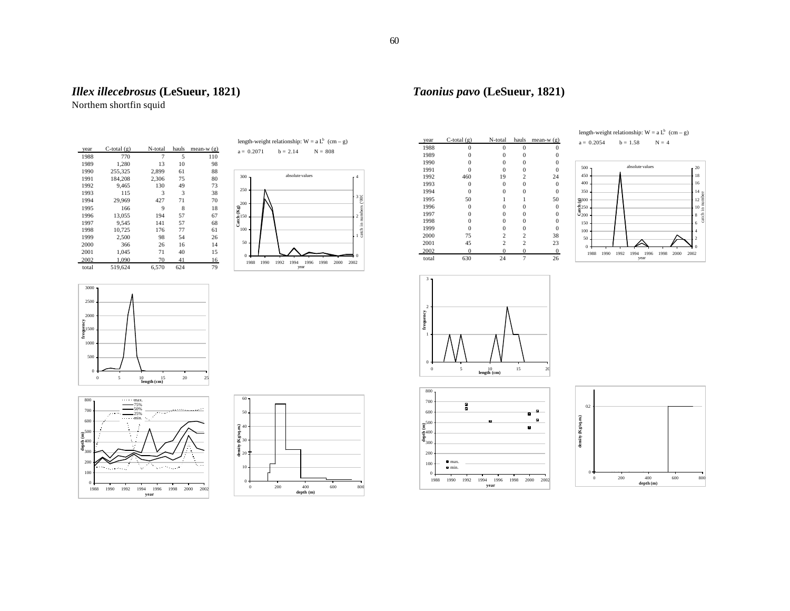## *Illex illecebrosus* **(LeSueur, 1821)**

Northern shortfin squid















length-weight relationship:  $W = a L^b$  (cm – g)  $a = 0.2054$   $b = 1.58$   $N = 4$ 







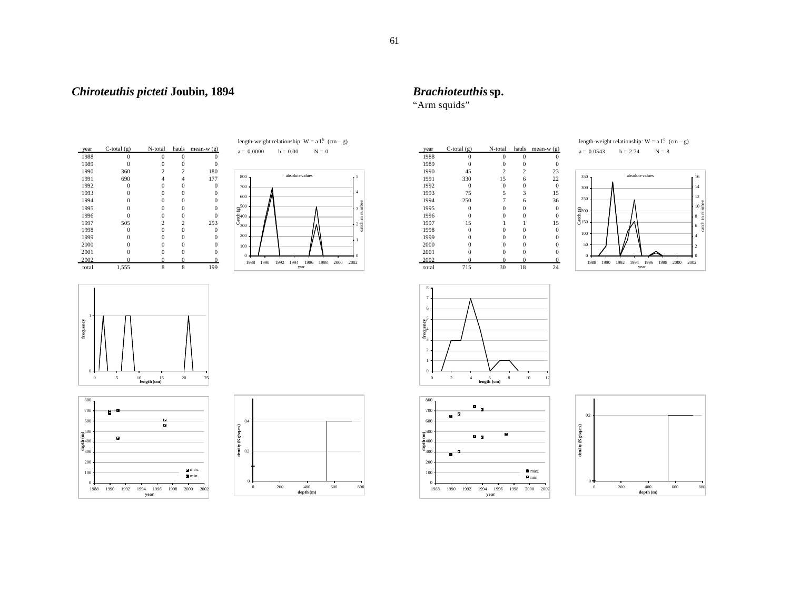





"Arm squids"



length-weight relationship:  $W = a L^b$  (cm – g)  $a = 0.0543$   $b = 2.74$   $N = 8$ 













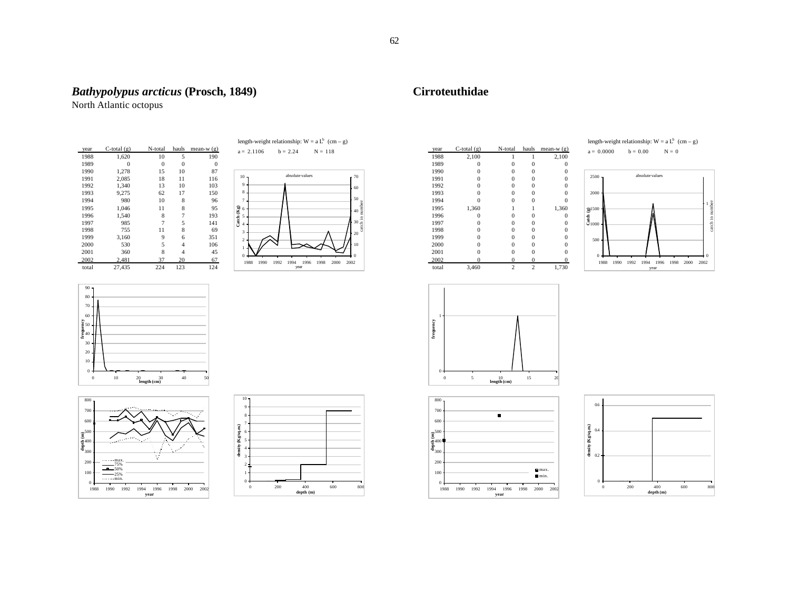# *Bathypolypus arcticus* **(Prosch, 1849)**

North Atlantic octopus







length-weight relationship:  $W = a L^b$  (cm – g)  $a = 0.0000$   $b = 0.00$   $N = 0$ 















# **Cirroteuthidae**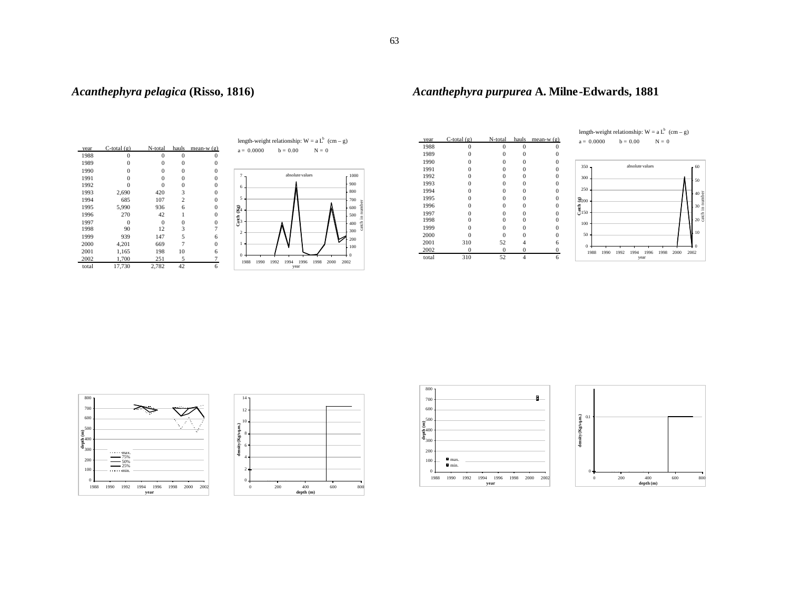











catch in numbers in numb



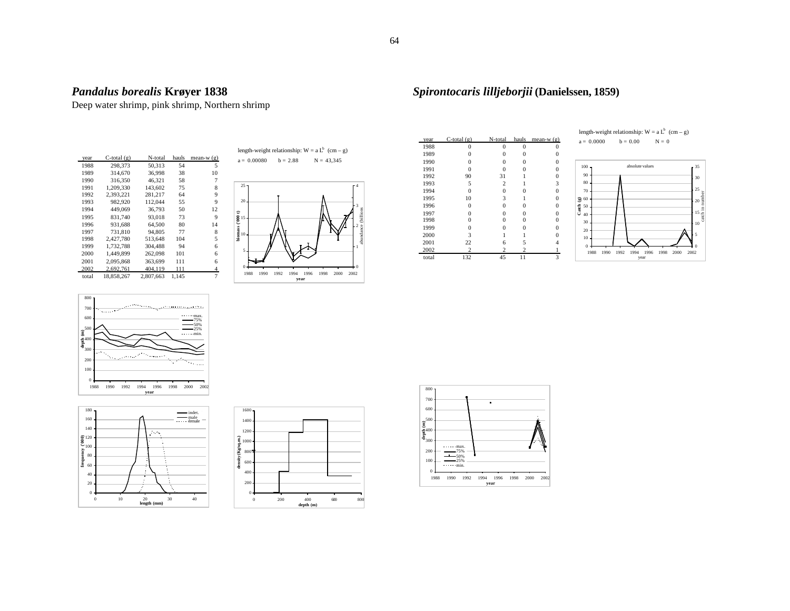## *Pandalus borealis* **Krøyer 1838**

Deep water shrimp, pink shrimp, Northern shrimp

| year  | $C$ -total $(g)$ | N-total   | hauls | mean-w $(g)$ |
|-------|------------------|-----------|-------|--------------|
| 1988  | 298.373          | 50.313    | 54    | 5            |
| 1989  | 314,670          | 36.998    | 38    | 10           |
| 1990  | 316,350          | 46.321    | 58    | 7            |
| 1991  | 1.209.330        | 143.602   | 75    | 8            |
| 1992  | 2,393,221        | 281,217   | 64    | 9            |
| 1993  | 982,920          | 112.044   | 55    | 9            |
| 1994  | 449,069          | 36.793    | 50    | 12           |
| 1995  | 831.740          | 93.018    | 73    | 9            |
| 1996  | 931.688          | 64.500    | 80    | 14           |
| 1997  | 731,810          | 94.805    | 77    | 8            |
| 1998  | 2,427,780        | 513,648   | 104   | 5            |
| 1999  | 1,732,788        | 304.488   | 94    | 6            |
| 2000  | 1.449.899        | 262,098   | 101   | 6            |
| 2001  | 2.095.868        | 363,699   | 111   | 6            |
| 2002  | 2,692,761        | 404,119   | 111   | 4            |
| total | 18,858,267       | 2.807.663 | 1.145 | 7            |

length-weight relationship:  $W = a L^b$  (cm – g)  $a = 0.00080$   $b = 2.88$   $N = 43,345$ 





*Spirontocaris lilljeborjii* **(Danielssen, 1859)**

length-weight relationship:  $W = a L^b$  (cm – g)  $a = 0.0000$   $b = 0.00$   $N = 0$ 









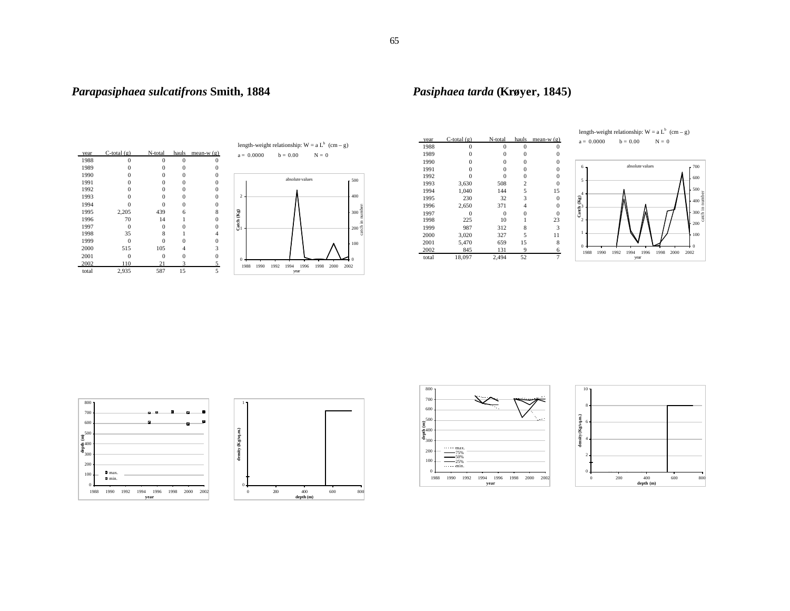# *Parapasiphaea sulcatifrons* **Smith, 1884** *Pasiphaea tarda* **(Krøyer, 1845)**















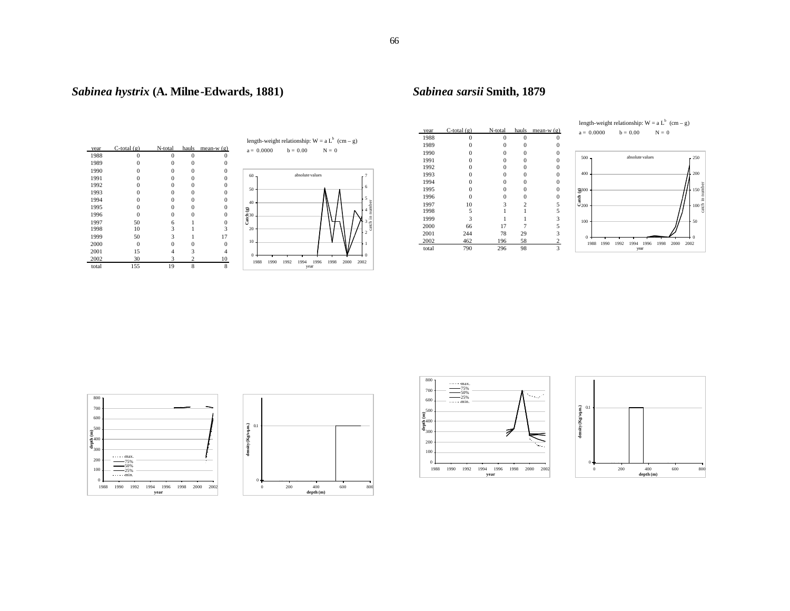# *Sabinea hystrix* **(A. Milne-Edwards, 1881)** *Sabinea sarsii* **Smith, 1879**







length-weight relationship:  $W = a L^b$  (cm – g)









 

catch in number.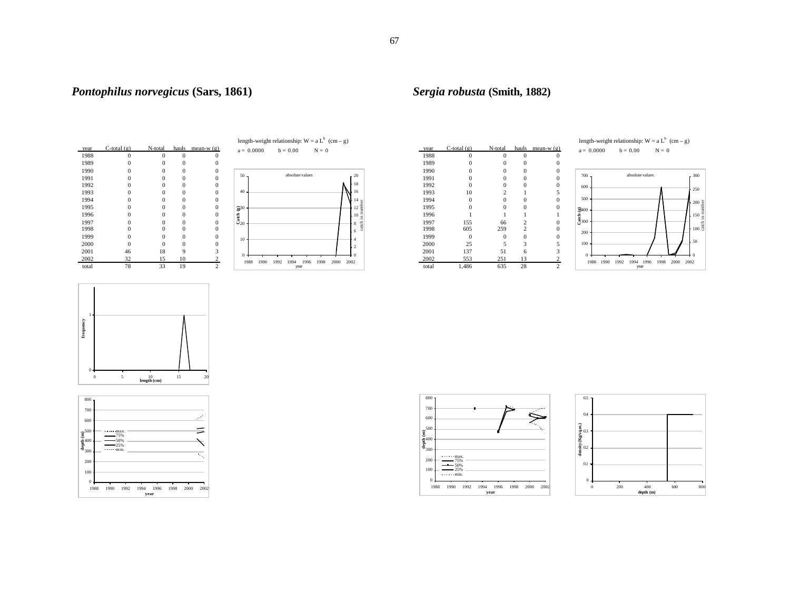









 1990 1992 1994 1996 1998 2000 2002 .<br>year

 $\Omega$ 

length-weight relationship:  $W = a L^b$  (cm – g)









  $\overline{2}$ 

catch in numbers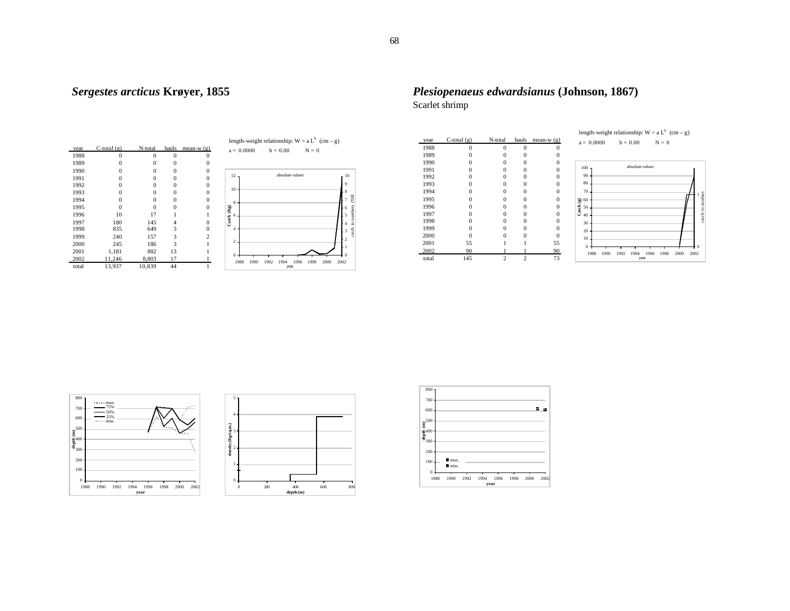

## *Sergestes arcticus* **Krøyer, 1855** *Plesiopenaeus edwardsianus* **(Johnson, 1867)** Scarlet shrimp





length-weight relationship:  $W = a L^b$  (cm – g)





catch in numbers ('000)

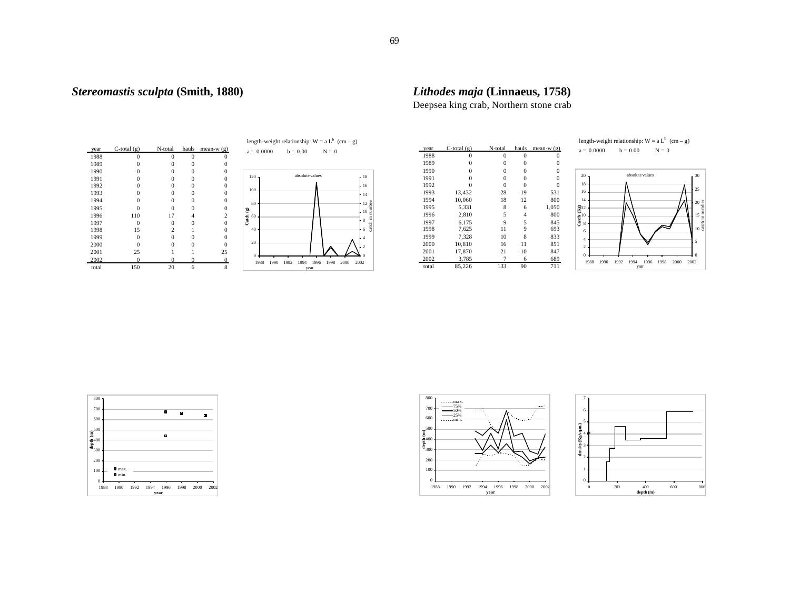

# *Stereomastis sculpta* **(Smith, 1880)** *Lithodes maja* **(Linnaeus, 1758)**

Deepsea king crab, Northern stone crab











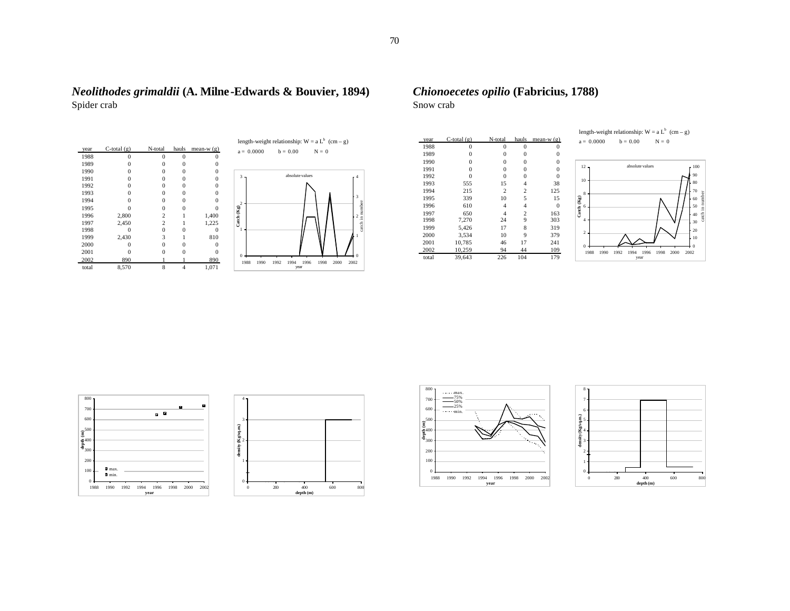

## *Neolithodes grimaldii* **(A. Milne-Edwards & Bouvier, 1894)** Spider crab

### *Chionoecetes opilio* **(Fabricius, 1788)** Snow crab













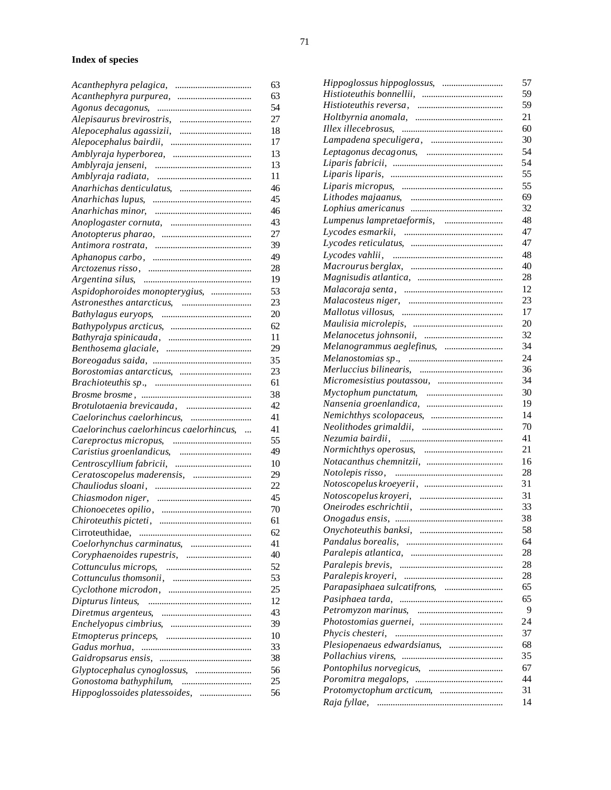## **Index of species**

|                                         | 63 |
|-----------------------------------------|----|
|                                         | 63 |
|                                         | 54 |
|                                         | 27 |
|                                         | 18 |
|                                         | 17 |
|                                         | 13 |
|                                         | 13 |
|                                         | 11 |
|                                         | 46 |
|                                         | 45 |
|                                         | 46 |
|                                         | 43 |
|                                         | 27 |
|                                         | 39 |
|                                         | 49 |
|                                         | 28 |
|                                         | 19 |
| Aspidophoroides monopterygius,          | 53 |
|                                         | 23 |
|                                         | 20 |
|                                         | 62 |
|                                         | 11 |
|                                         | 29 |
|                                         | 35 |
|                                         | 23 |
|                                         | 61 |
|                                         | 38 |
|                                         | 42 |
|                                         | 41 |
| Caelorinchus caelorhincus caelorhincus, | 41 |
|                                         | 55 |
|                                         | 49 |
|                                         | 10 |
|                                         | 29 |
|                                         | 22 |
|                                         | 45 |
|                                         | 70 |
|                                         | 61 |
| Cirroteuthidae,                         | 62 |
|                                         | 41 |
|                                         | 40 |
|                                         | 52 |
|                                         | 53 |
|                                         | 25 |
|                                         | 12 |
|                                         | 43 |
|                                         | 39 |
|                                         | 10 |
|                                         | 33 |
|                                         | 38 |
|                                         | 56 |
|                                         | 25 |
| Hippoglossoides platessoides,           | 56 |
|                                         |    |

| 57 |
|----|
| 59 |
| 59 |
| 21 |
| 60 |
| 30 |
| 54 |
| 54 |
| 55 |
|    |
| 55 |
| 69 |
| 32 |
| 48 |
| 47 |
| 47 |
| 48 |
| 40 |
| 28 |
| 12 |
| 23 |
| 17 |
| 20 |
| 32 |
| 34 |
|    |
| 24 |
| 36 |
| 34 |
| 30 |
| 19 |
| 14 |
| 70 |
| 41 |
| 21 |
| 16 |
| 28 |
| 31 |
| 31 |
| 33 |
| 38 |
| 58 |
| 64 |
| 28 |
|    |
| 28 |
| 28 |
| 65 |
| 65 |
| 9  |
| 24 |
| 37 |
| 68 |
| 35 |
| 67 |
| 44 |
| 31 |
| 14 |
|    |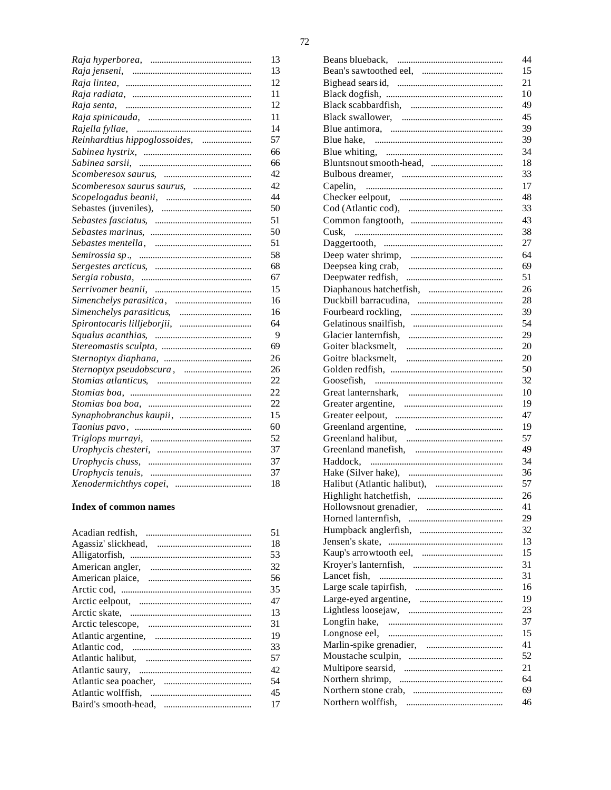|                               | 13  |
|-------------------------------|-----|
|                               | 13  |
|                               | 12  |
|                               | 11  |
|                               | 12  |
|                               | 11  |
|                               | 14  |
| Reinhardtius hippoglossoides, | 57  |
|                               | 66  |
|                               | 66  |
|                               | 42  |
|                               | 42. |
|                               | 44  |
|                               | 50  |
|                               | 51  |
|                               | 50  |
|                               | 51  |
|                               | 58  |
|                               | 68  |
|                               | 67  |
|                               | 15  |
|                               | 16  |
|                               | 16  |
|                               | 64  |
|                               | 9   |
|                               | 69  |
|                               | 26  |
|                               | 26  |
|                               | 22  |
|                               | 22  |
|                               | 22  |
|                               | 15  |
|                               | 60  |
|                               | 52  |
|                               | 37  |
|                               | 37  |
|                               | 37  |
|                               | 18  |
|                               |     |

#### **Index of common names**

| 51  |
|-----|
| 18  |
| 53  |
| 32  |
| 56  |
| 35  |
| 47  |
| 13  |
| 31  |
| 19  |
| 33  |
| 57  |
| 42. |
| 54  |
| 45  |
| 17  |
|     |

|                                                                                                                                                                                                                                                                                                                                                             | 44 |
|-------------------------------------------------------------------------------------------------------------------------------------------------------------------------------------------------------------------------------------------------------------------------------------------------------------------------------------------------------------|----|
|                                                                                                                                                                                                                                                                                                                                                             | 15 |
|                                                                                                                                                                                                                                                                                                                                                             | 21 |
|                                                                                                                                                                                                                                                                                                                                                             | 10 |
|                                                                                                                                                                                                                                                                                                                                                             | 49 |
|                                                                                                                                                                                                                                                                                                                                                             | 45 |
|                                                                                                                                                                                                                                                                                                                                                             | 39 |
|                                                                                                                                                                                                                                                                                                                                                             | 39 |
|                                                                                                                                                                                                                                                                                                                                                             | 34 |
|                                                                                                                                                                                                                                                                                                                                                             | 18 |
|                                                                                                                                                                                                                                                                                                                                                             | 33 |
| Capelin,                                                                                                                                                                                                                                                                                                                                                    | 17 |
|                                                                                                                                                                                                                                                                                                                                                             | 48 |
|                                                                                                                                                                                                                                                                                                                                                             | 33 |
|                                                                                                                                                                                                                                                                                                                                                             | 43 |
| Cusk,                                                                                                                                                                                                                                                                                                                                                       | 38 |
| $\begin{minipage}{0.5\textwidth} \begin{tabular}{ c c c } \hline \multicolumn{1}{ c }{0.4\textwidth} \put(0,0) \put(0,0) \put(0,0) \put(0,0) \put(0,0) \put(0,0) \put(0,0) \put(0,0) \put(0,0) \put(0,0) \put(0,0) \put(0,0) \put(0,0) \put(0,0) \put(0,0) \put(0,0) \put(0,0) \put(0,0) \put(0,0) \put(0,0) \put(0,0) \put(0,0) \put(0,0) \put(0,0) \put($ |    |
|                                                                                                                                                                                                                                                                                                                                                             | 27 |
|                                                                                                                                                                                                                                                                                                                                                             | 64 |
|                                                                                                                                                                                                                                                                                                                                                             | 69 |
|                                                                                                                                                                                                                                                                                                                                                             | 51 |
|                                                                                                                                                                                                                                                                                                                                                             | 26 |
|                                                                                                                                                                                                                                                                                                                                                             | 28 |
|                                                                                                                                                                                                                                                                                                                                                             | 39 |
|                                                                                                                                                                                                                                                                                                                                                             | 54 |
|                                                                                                                                                                                                                                                                                                                                                             | 29 |
|                                                                                                                                                                                                                                                                                                                                                             | 20 |
|                                                                                                                                                                                                                                                                                                                                                             | 20 |
|                                                                                                                                                                                                                                                                                                                                                             | 50 |
|                                                                                                                                                                                                                                                                                                                                                             | 32 |
|                                                                                                                                                                                                                                                                                                                                                             | 10 |
|                                                                                                                                                                                                                                                                                                                                                             | 19 |
|                                                                                                                                                                                                                                                                                                                                                             | 47 |
|                                                                                                                                                                                                                                                                                                                                                             | 19 |
|                                                                                                                                                                                                                                                                                                                                                             | 57 |
|                                                                                                                                                                                                                                                                                                                                                             | 49 |
| Haddock.                                                                                                                                                                                                                                                                                                                                                    | 34 |
|                                                                                                                                                                                                                                                                                                                                                             | 36 |
|                                                                                                                                                                                                                                                                                                                                                             | 57 |
|                                                                                                                                                                                                                                                                                                                                                             | 26 |
|                                                                                                                                                                                                                                                                                                                                                             | 41 |
| Horned lanternfish,                                                                                                                                                                                                                                                                                                                                         | 29 |
|                                                                                                                                                                                                                                                                                                                                                             | 32 |
|                                                                                                                                                                                                                                                                                                                                                             | 13 |
|                                                                                                                                                                                                                                                                                                                                                             | 15 |
|                                                                                                                                                                                                                                                                                                                                                             | 31 |
| Lancet fish,                                                                                                                                                                                                                                                                                                                                                | 31 |
|                                                                                                                                                                                                                                                                                                                                                             | 16 |
|                                                                                                                                                                                                                                                                                                                                                             | 19 |
|                                                                                                                                                                                                                                                                                                                                                             | 23 |
|                                                                                                                                                                                                                                                                                                                                                             | 37 |
|                                                                                                                                                                                                                                                                                                                                                             | 15 |
| Longnose eel,                                                                                                                                                                                                                                                                                                                                               | 41 |
|                                                                                                                                                                                                                                                                                                                                                             | 52 |
|                                                                                                                                                                                                                                                                                                                                                             | 21 |
|                                                                                                                                                                                                                                                                                                                                                             | 64 |
|                                                                                                                                                                                                                                                                                                                                                             | 69 |
|                                                                                                                                                                                                                                                                                                                                                             |    |
|                                                                                                                                                                                                                                                                                                                                                             | 46 |